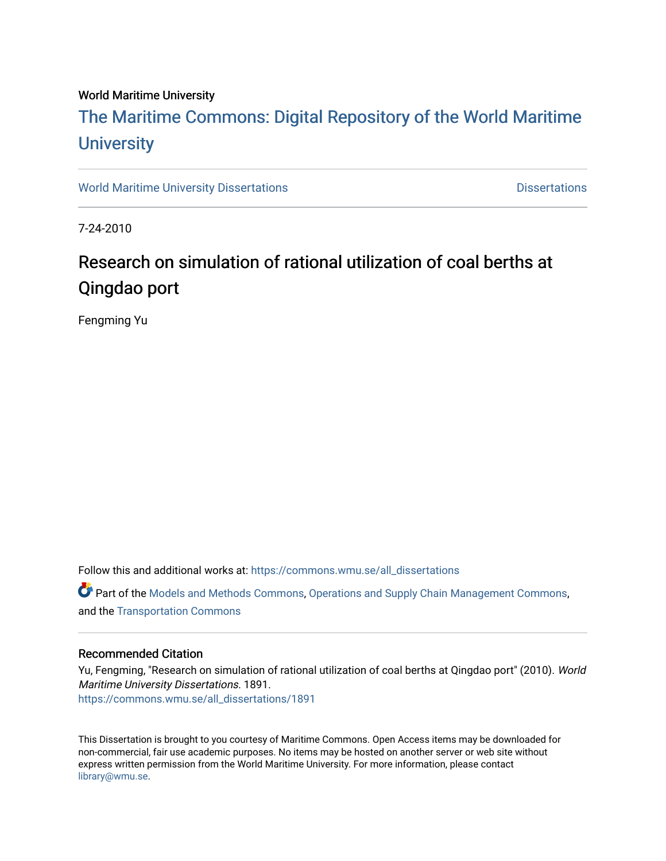#### World Maritime University

## [The Maritime Commons: Digital Repository of the World Maritime](https://commons.wmu.se/)  **University**

[World Maritime University Dissertations](https://commons.wmu.se/all_dissertations) **Distributions** [Dissertations](https://commons.wmu.se/dissertations) Dissertations

7-24-2010

## Research on simulation of rational utilization of coal berths at Qingdao port

Fengming Yu

Follow this and additional works at: [https://commons.wmu.se/all\\_dissertations](https://commons.wmu.se/all_dissertations?utm_source=commons.wmu.se%2Fall_dissertations%2F1891&utm_medium=PDF&utm_campaign=PDFCoverPages) 

Part of the [Models and Methods Commons,](http://network.bepress.com/hgg/discipline/390?utm_source=commons.wmu.se%2Fall_dissertations%2F1891&utm_medium=PDF&utm_campaign=PDFCoverPages) [Operations and Supply Chain Management Commons,](http://network.bepress.com/hgg/discipline/1229?utm_source=commons.wmu.se%2Fall_dissertations%2F1891&utm_medium=PDF&utm_campaign=PDFCoverPages) and the [Transportation Commons](http://network.bepress.com/hgg/discipline/1068?utm_source=commons.wmu.se%2Fall_dissertations%2F1891&utm_medium=PDF&utm_campaign=PDFCoverPages) 

#### Recommended Citation

Yu, Fengming, "Research on simulation of rational utilization of coal berths at Qingdao port" (2010). World Maritime University Dissertations. 1891. [https://commons.wmu.se/all\\_dissertations/1891](https://commons.wmu.se/all_dissertations/1891?utm_source=commons.wmu.se%2Fall_dissertations%2F1891&utm_medium=PDF&utm_campaign=PDFCoverPages)

This Dissertation is brought to you courtesy of Maritime Commons. Open Access items may be downloaded for non-commercial, fair use academic purposes. No items may be hosted on another server or web site without express written permission from the World Maritime University. For more information, please contact [library@wmu.se](mailto:library@wmu.edu).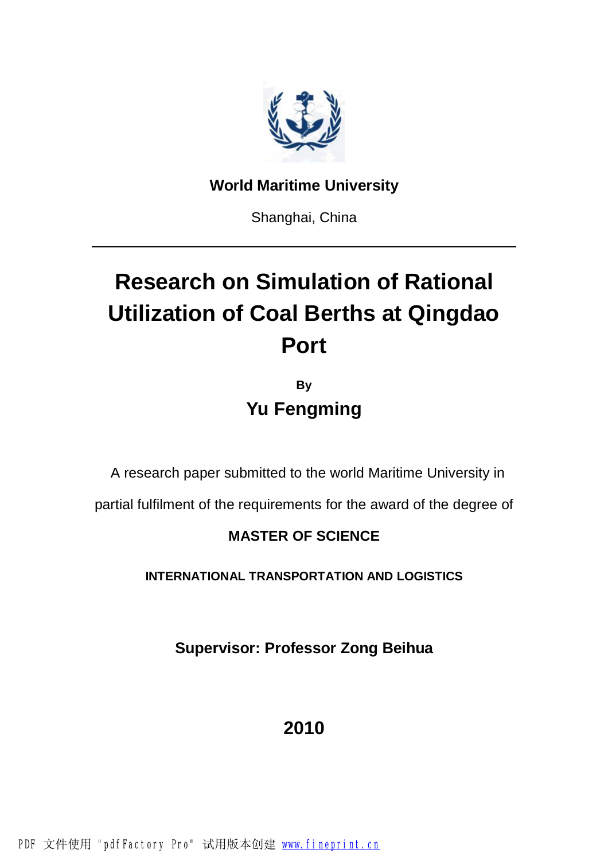

## **World Maritime University**

Shanghai, China

# **Research on Simulation of Rational Utilization of Coal Berths at Qingdao Port**

**By Yu Fengming** 

A research paper submitted to the world Maritime University in

partial fulfilment of the requirements for the award of the degree of

## **MASTER OF SCIENCE**

**INTERNATIONAL TRANSPORTATION AND LOGISTICS**

**Supervisor: Professor Zong Beihua** 

**2010**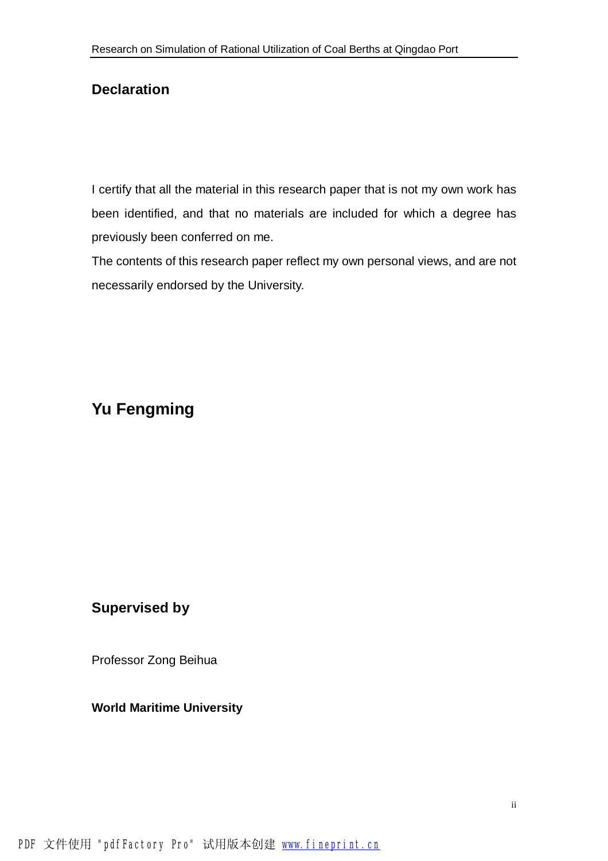### **Declaration**

I certify that all the material in this research paper that is not my own work has been identified, and that no materials are included for which a degree has previously been conferred on me.

The contents of this research paper reflect my own personal views, and are not necessarily endorsed by the University.

## **Yu Fengming**

### **Supervised by**

Professor Zong Beihua

#### **World Maritime University**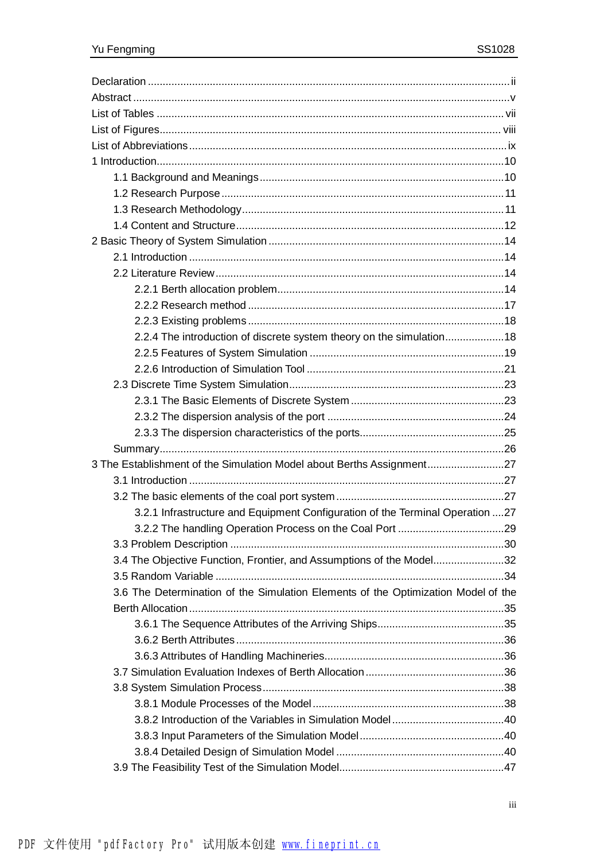| 2.2.4 The introduction of discrete system theory on the simulation18              |  |
|-----------------------------------------------------------------------------------|--|
|                                                                                   |  |
|                                                                                   |  |
|                                                                                   |  |
|                                                                                   |  |
|                                                                                   |  |
|                                                                                   |  |
|                                                                                   |  |
| 3 The Establishment of the Simulation Model about Berths Assignment27             |  |
|                                                                                   |  |
|                                                                                   |  |
| 3.2.1 Infrastructure and Equipment Configuration of the Terminal Operation 27     |  |
|                                                                                   |  |
|                                                                                   |  |
| 3.4 The Objective Function, Frontier, and Assumptions of the Model32              |  |
|                                                                                   |  |
| 3.6 The Determination of the Simulation Elements of the Optimization Model of the |  |
|                                                                                   |  |
|                                                                                   |  |
|                                                                                   |  |
|                                                                                   |  |
|                                                                                   |  |
|                                                                                   |  |
|                                                                                   |  |
|                                                                                   |  |
|                                                                                   |  |
|                                                                                   |  |
|                                                                                   |  |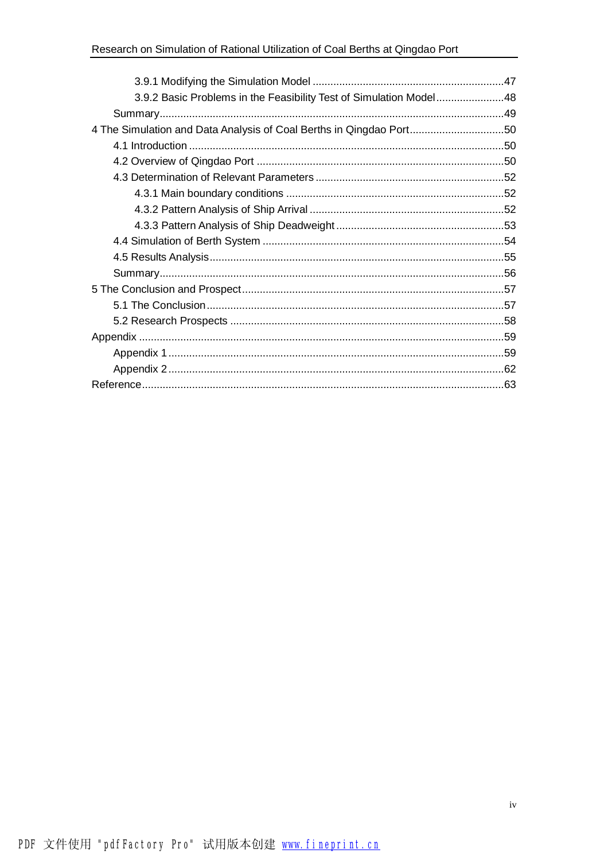| 3.9.2 Basic Problems in the Feasibility Test of Simulation Model48  |  |
|---------------------------------------------------------------------|--|
|                                                                     |  |
| 4 The Simulation and Data Analysis of Coal Berths in Qingdao Port50 |  |
|                                                                     |  |
|                                                                     |  |
|                                                                     |  |
|                                                                     |  |
|                                                                     |  |
|                                                                     |  |
|                                                                     |  |
|                                                                     |  |
|                                                                     |  |
|                                                                     |  |
|                                                                     |  |
|                                                                     |  |
|                                                                     |  |
|                                                                     |  |
|                                                                     |  |
|                                                                     |  |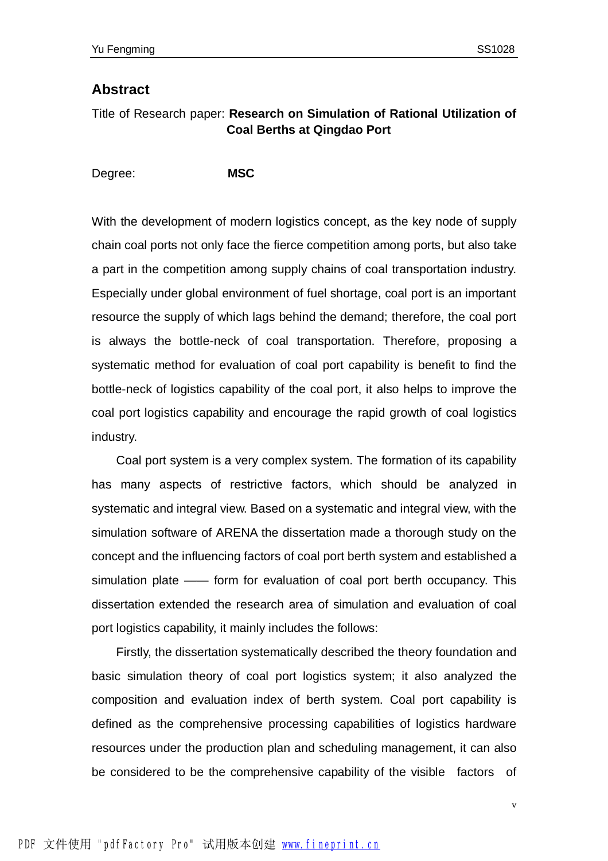#### **Abstract**

#### Title of Research paper: **Research on Simulation of Rational Utilization of Coal Berths at Qingdao Port**

Degree: **MSC**

With the development of modern logistics concept, as the key node of supply chain coal ports not only face the fierce competition among ports, but also take a part in the competition among supply chains of coal transportation industry. Especially under global environment of fuel shortage, coal port is an important resource the supply of which lags behind the demand; therefore, the coal port is always the bottle-neck of coal transportation. Therefore, proposing a systematic method for evaluation of coal port capability is benefit to find the bottle-neck of logistics capability of the coal port, it also helps to improve the coal port logistics capability and encourage the rapid growth of coal logistics industry.

 Coal port system is a very complex system. The formation of its capability has many aspects of restrictive factors, which should be analyzed in systematic and integral view. Based on a systematic and integral view, with the simulation software of ARENA the dissertation made a thorough study on the concept and the influencing factors of coal port berth system and established a simulation plate —— form for evaluation of coal port berth occupancy. This dissertation extended the research area of simulation and evaluation of coal port logistics capability, it mainly includes the follows:

 Firstly, the dissertation systematically described the theory foundation and basic simulation theory of coal port logistics system; it also analyzed the composition and evaluation index of berth system. Coal port capability is defined as the comprehensive processing capabilities of logistics hardware resources under the production plan and scheduling management, it can also be considered to be the comprehensive capability of the visible factors of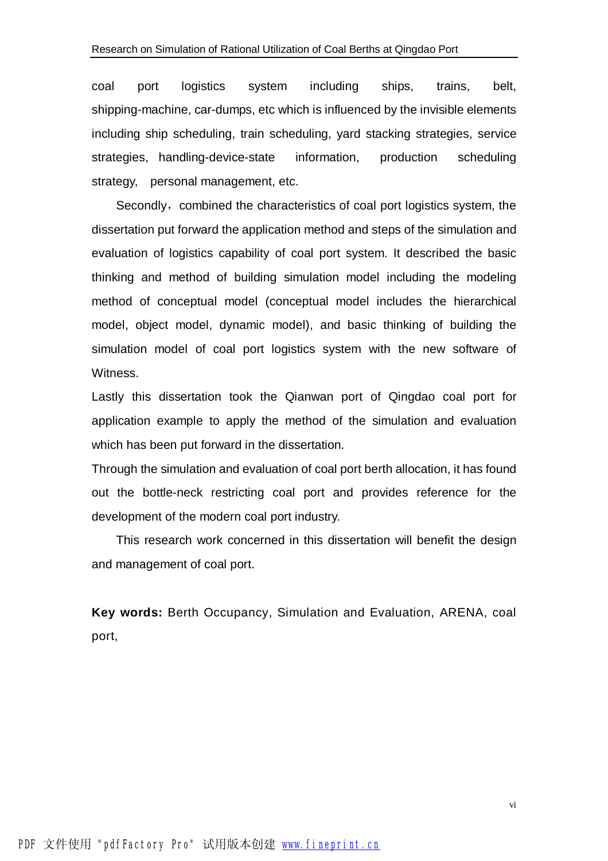coal port logistics system including ships, trains, belt, shipping-machine, car-dumps, etc which is influenced by the invisible elements including ship scheduling, train scheduling, yard stacking strategies, service strategies, handling-device-state information, production scheduling strategy, personal management, etc.

Secondly, combined the characteristics of coal port logistics system, the dissertation put forward the application method and steps of the simulation and evaluation of logistics capability of coal port system. It described the basic thinking and method of building simulation model including the modeling method of conceptual model (conceptual model includes the hierarchical model, object model, dynamic model), and basic thinking of building the simulation model of coal port logistics system with the new software of Witness.

Lastly this dissertation took the Qianwan port of Qingdao coal port for application example to apply the method of the simulation and evaluation which has been put forward in the dissertation.

Through the simulation and evaluation of coal port berth allocation, it has found out the bottle-neck restricting coal port and provides reference for the development of the modern coal port industry.

 This research work concerned in this dissertation will benefit the design and management of coal port.

**Key words:** Berth Occupancy, Simulation and Evaluation, ARENA, coal port,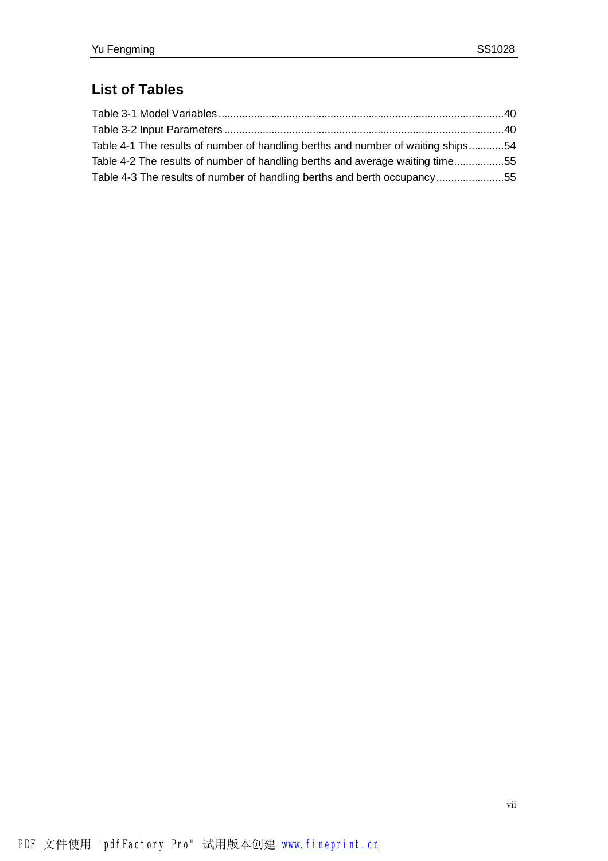## **List of Tables**

| Table 4-1 The results of number of handling berths and number of waiting ships54 |  |
|----------------------------------------------------------------------------------|--|
| Table 4-2 The results of number of handling berths and average waiting time55    |  |
| Table 4-3 The results of number of handling berths and berth occupancy55         |  |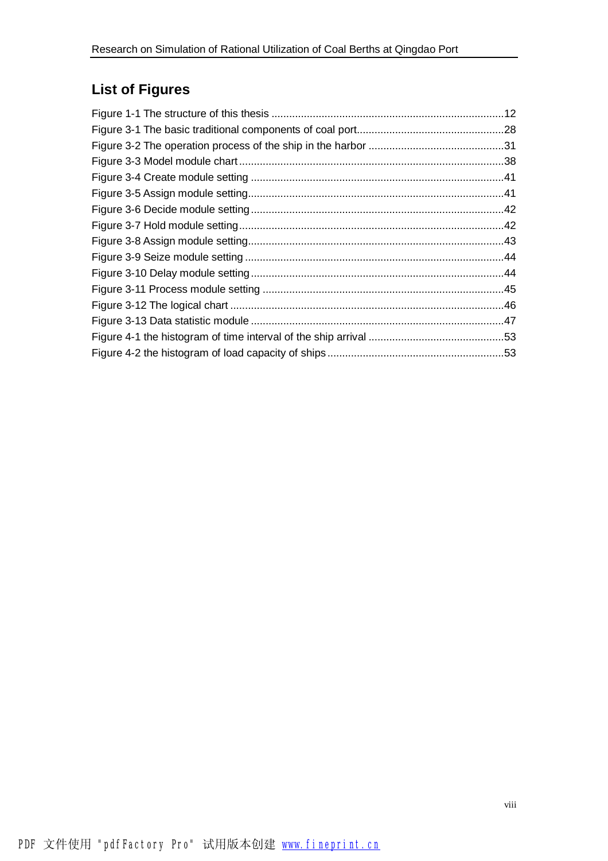## **List of Figures**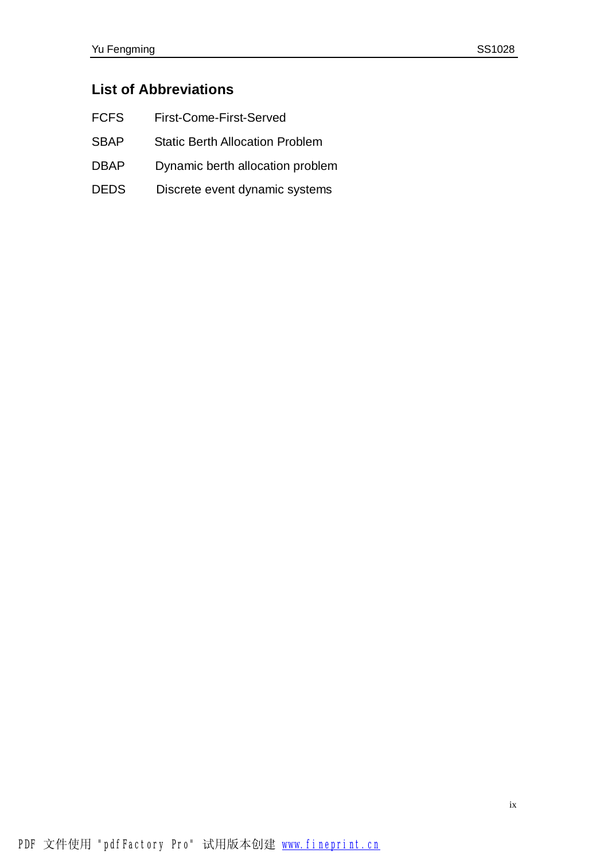## **List of Abbreviations**

- FCFS First-Come-First-Served
- SBAP Static Berth Allocation Problem
- DBAP Dynamic berth allocation problem
- DEDS Discrete event dynamic systems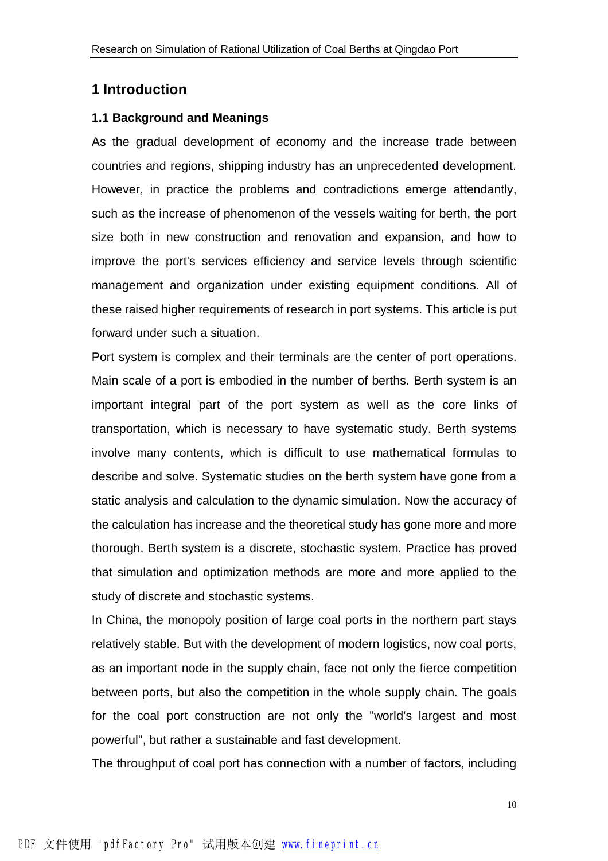#### **1 Introduction**

#### **1.1 Background and Meanings**

As the gradual development of economy and the increase trade between countries and regions, shipping industry has an unprecedented development. However, in practice the problems and contradictions emerge attendantly, such as the increase of phenomenon of the vessels waiting for berth, the port size both in new construction and renovation and expansion, and how to improve the port's services efficiency and service levels through scientific management and organization under existing equipment conditions. All of these raised higher requirements of research in port systems. This article is put forward under such a situation.

Port system is complex and their terminals are the center of port operations. Main scale of a port is embodied in the number of berths. Berth system is an important integral part of the port system as well as the core links of transportation, which is necessary to have systematic study. Berth systems involve many contents, which is difficult to use mathematical formulas to describe and solve. Systematic studies on the berth system have gone from a static analysis and calculation to the dynamic simulation. Now the accuracy of the calculation has increase and the theoretical study has gone more and more thorough. Berth system is a discrete, stochastic system. Practice has proved that simulation and optimization methods are more and more applied to the study of discrete and stochastic systems.

In China, the monopoly position of large coal ports in the northern part stays relatively stable. But with the development of modern logistics, now coal ports, as an important node in the supply chain, face not only the fierce competition between ports, but also the competition in the whole supply chain. The goals for the coal port construction are not only the "world's largest and most powerful", but rather a sustainable and fast development.

The throughput of coal port has connection with a number of factors, including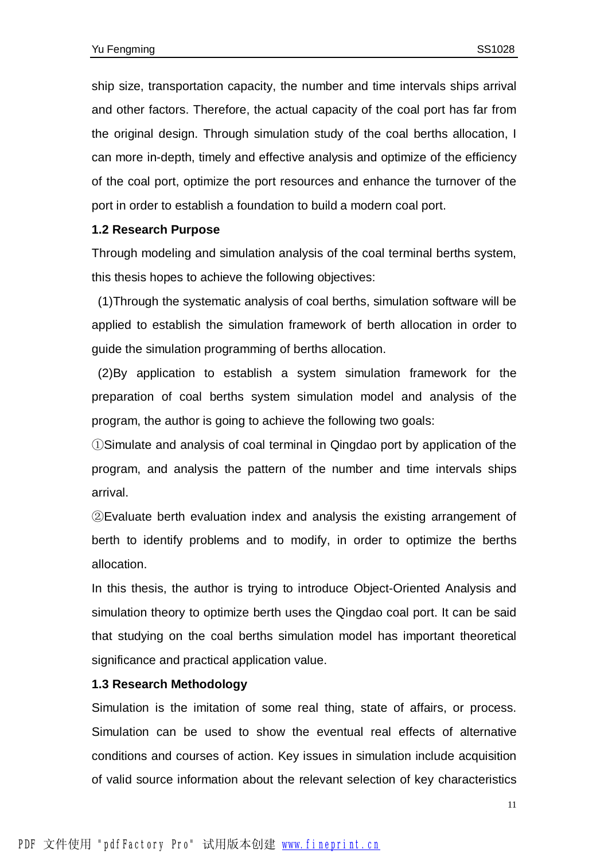ship size, transportation capacity, the number and time intervals ships arrival and other factors. Therefore, the actual capacity of the coal port has far from the original design. Through simulation study of the coal berths allocation, I can more in-depth, timely and effective analysis and optimize of the efficiency of the coal port, optimize the port resources and enhance the turnover of the port in order to establish a foundation to build a modern coal port.

#### **1.2 Research Purpose**

Through modeling and simulation analysis of the coal terminal berths system, this thesis hopes to achieve the following objectives:

(1)Through the systematic analysis of coal berths, simulation software will be applied to establish the simulation framework of berth allocation in order to guide the simulation programming of berths allocation.

(2)By application to establish a system simulation framework for the preparation of coal berths system simulation model and analysis of the program, the author is going to achieve the following two goals:

①Simulate and analysis of coal terminal in Qingdao port by application of the program, and analysis the pattern of the number and time intervals ships arrival.

②Evaluate berth evaluation index and analysis the existing arrangement of berth to identify problems and to modify, in order to optimize the berths allocation.

In this thesis, the author is trying to introduce Object-Oriented Analysis and simulation theory to optimize berth uses the Qingdao coal port. It can be said that studying on the coal berths simulation model has important theoretical significance and practical application value.

#### **1.3 Research Methodology**

Simulation is the imitation of some real thing, state of affairs, or process. Simulation can be used to show the eventual real effects of alternative conditions and courses of action. Key issues in simulation include acquisition of valid source information about the relevant selection of key characteristics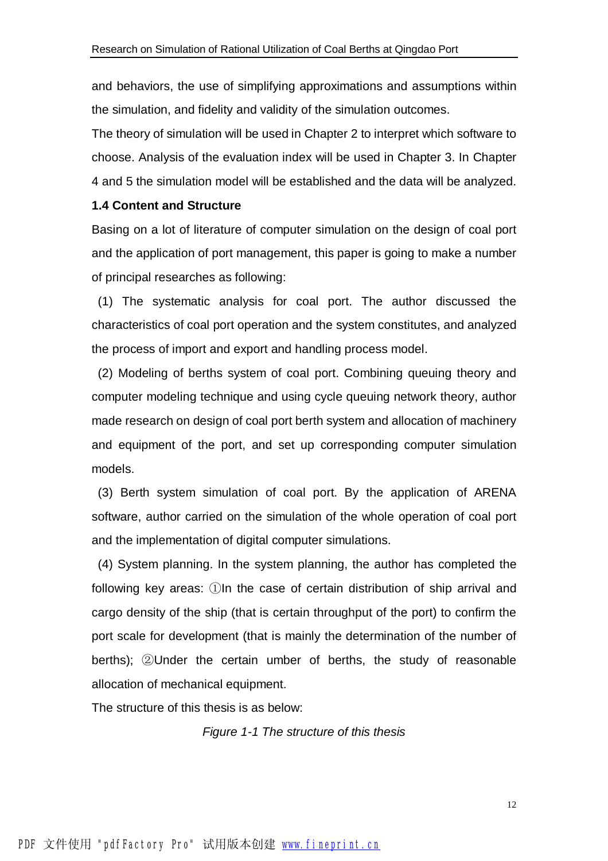and behaviors, the use of simplifying approximations and assumptions within the simulation, and fidelity and validity of the simulation outcomes.

The theory of simulation will be used in Chapter 2 to interpret which software to choose. Analysis of the evaluation index will be used in Chapter 3. In Chapter 4 and 5 the simulation model will be established and the data will be analyzed.

#### **1.4 Content and Structure**

Basing on a lot of literature of computer simulation on the design of coal port and the application of port management, this paper is going to make a number of principal researches as following:

(1) The systematic analysis for coal port. The author discussed the characteristics of coal port operation and the system constitutes, and analyzed the process of import and export and handling process model.

(2) Modeling of berths system of coal port. Combining queuing theory and computer modeling technique and using cycle queuing network theory, author made research on design of coal port berth system and allocation of machinery and equipment of the port, and set up corresponding computer simulation models.

(3) Berth system simulation of coal port. By the application of ARENA software, author carried on the simulation of the whole operation of coal port and the implementation of digital computer simulations.

(4) System planning. In the system planning, the author has completed the following key areas: ①In the case of certain distribution of ship arrival and cargo density of the ship (that is certain throughput of the port) to confirm the port scale for development (that is mainly the determination of the number of berths); ②Under the certain umber of berths, the study of reasonable allocation of mechanical equipment.

The structure of this thesis is as below:

*Figure 1-1 The structure of this thesis*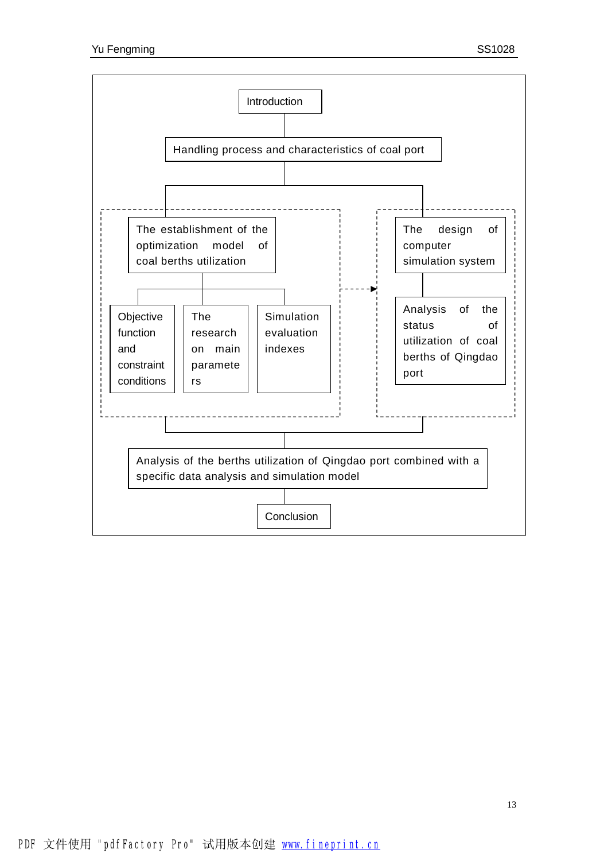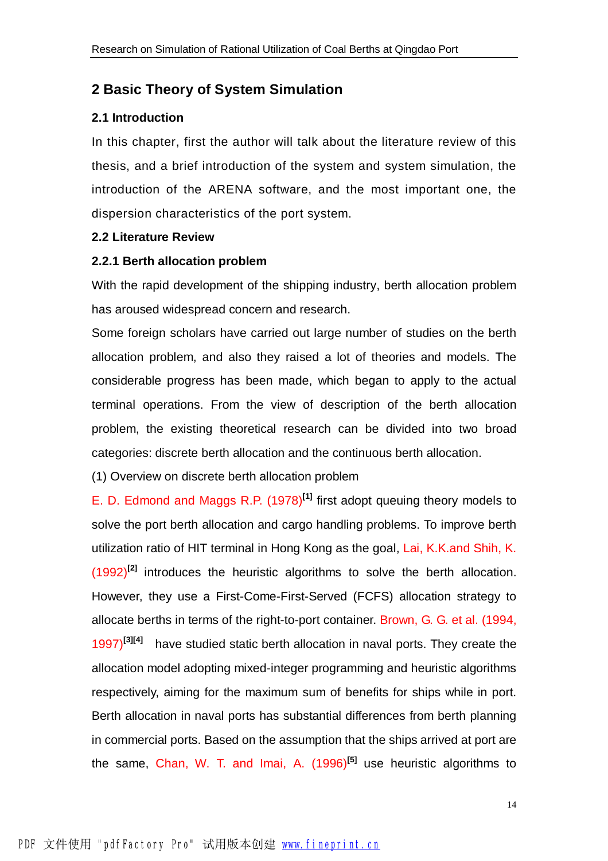### **2 Basic Theory of System Simulation**

#### **2.1 Introduction**

In this chapter, first the author will talk about the literature review of this thesis, and a brief introduction of the system and system simulation, the introduction of the ARENA software, and the most important one, the dispersion characteristics of the port system.

#### **2.2 Literature Review**

#### **2.2.1 Berth allocation problem**

With the rapid development of the shipping industry, berth allocation problem has aroused widespread concern and research.

Some foreign scholars have carried out large number of studies on the berth allocation problem, and also they raised a lot of theories and models. The considerable progress has been made, which began to apply to the actual terminal operations. From the view of description of the berth allocation problem, the existing theoretical research can be divided into two broad categories: discrete berth allocation and the continuous berth allocation.

(1) Overview on discrete berth allocation problem

E. D. Edmond and Maggs R.P. (1978)**[1]** first adopt queuing theory models to solve the port berth allocation and cargo handling problems. To improve berth utilization ratio of HIT terminal in Hong Kong as the goal, Lai, K.K.and Shih, K. (1992)**[2]** introduces the heuristic algorithms to solve the berth allocation. However, they use a First-Come-First-Served (FCFS) allocation strategy to allocate berths in terms of the right-to-port container. Brown, G. G. et al. (1994, 1997)<sup>[3][4]</sup> have studied static berth allocation in naval ports. They create the allocation model adopting mixed-integer programming and heuristic algorithms respectively, aiming for the maximum sum of benefits for ships while in port. Berth allocation in naval ports has substantial differences from berth planning in commercial ports. Based on the assumption that the ships arrived at port are the same, Chan, W. T. and Imai, A. (1996)**[5]** use heuristic algorithms to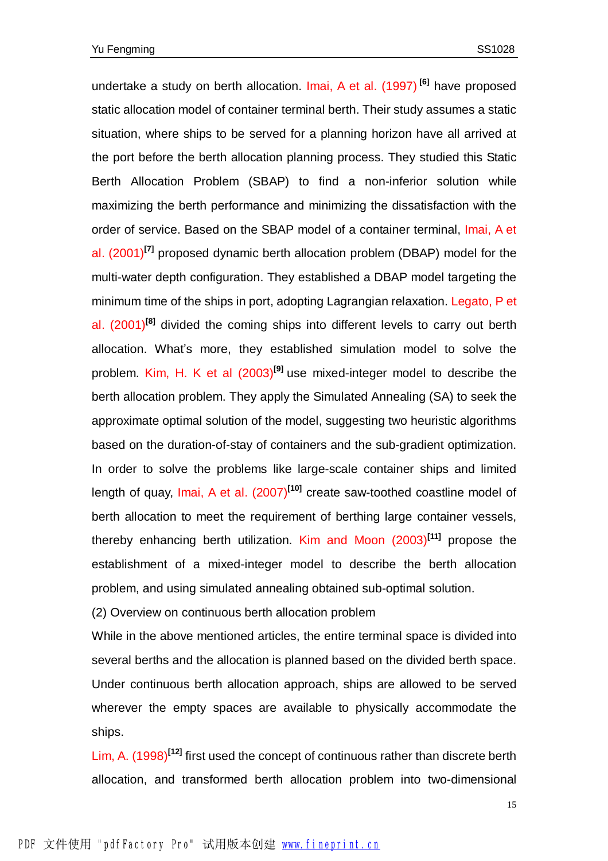undertake a study on berth allocation. Imai, A et al. (1997) **[6]** have proposed static allocation model of container terminal berth. Their study assumes a static situation, where ships to be served for a planning horizon have all arrived at the port before the berth allocation planning process. They studied this Static Berth Allocation Problem (SBAP) to find a non-inferior solution while maximizing the berth performance and minimizing the dissatisfaction with the order of service. Based on the SBAP model of a container terminal, Imai, A et al. (2001)**[7]** proposed dynamic berth allocation problem (DBAP) model for the multi-water depth configuration. They established a DBAP model targeting the minimum time of the ships in port, adopting Lagrangian relaxation. Legato, P et al. (2001)**[8]** divided the coming ships into different levels to carry out berth allocation. What's more, they established simulation model to solve the problem. Kim, H. K et al (2003)**[9]** use mixed-integer model to describe the berth allocation problem. They apply the Simulated Annealing (SA) to seek the approximate optimal solution of the model, suggesting two heuristic algorithms based on the duration-of-stay of containers and the sub-gradient optimization. In order to solve the problems like large-scale container ships and limited length of quay, Imai, A et al. (2007)**[10]** create saw-toothed coastline model of berth allocation to meet the requirement of berthing large container vessels, thereby enhancing berth utilization. Kim and Moon (2003)**[11]** propose the establishment of a mixed-integer model to describe the berth allocation problem, and using simulated annealing obtained sub-optimal solution.

(2) Overview on continuous berth allocation problem

While in the above mentioned articles, the entire terminal space is divided into several berths and the allocation is planned based on the divided berth space. Under continuous berth allocation approach, ships are allowed to be served wherever the empty spaces are available to physically accommodate the ships.

Lim, A. (1998)**[12]** first used the concept of continuous rather than discrete berth allocation, and transformed berth allocation problem into two-dimensional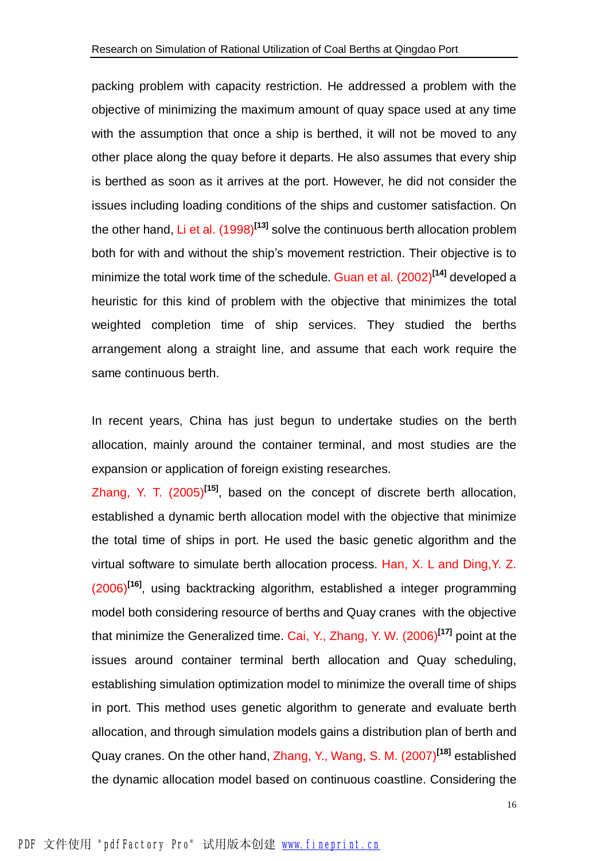packing problem with capacity restriction. He addressed a problem with the objective of minimizing the maximum amount of quay space used at any time with the assumption that once a ship is berthed, it will not be moved to any other place along the quay before it departs. He also assumes that every ship is berthed as soon as it arrives at the port. However, he did not consider the issues including loading conditions of the ships and customer satisfaction. On the other hand, Li et al. (1998)**[13]** solve the continuous berth allocation problem both for with and without the ship's movement restriction. Their objective is to minimize the total work time of the schedule. Guan et al. (2002)**[14]** developed a heuristic for this kind of problem with the objective that minimizes the total weighted completion time of ship services. They studied the berths arrangement along a straight line, and assume that each work require the same continuous berth.

In recent years, China has just begun to undertake studies on the berth allocation, mainly around the container terminal, and most studies are the expansion or application of foreign existing researches.

Zhang, Y. T. (2005)**[15]** , based on the concept of discrete berth allocation, established a dynamic berth allocation model with the objective that minimize the total time of ships in port. He used the basic genetic algorithm and the virtual software to simulate berth allocation process. Han, X. L and Ding,Y. Z. (2006)**[16]** , using backtracking algorithm, established a integer programming model both considering resource of berths and Quay cranes with the objective that minimize the Generalized time. Cai, Y., Zhang, Y. W. (2006)**[17]** point at the issues around container terminal berth allocation and Quay scheduling, establishing simulation optimization model to minimize the overall time of ships in port. This method uses genetic algorithm to generate and evaluate berth allocation, and through simulation models gains a distribution plan of berth and Quay cranes. On the other hand, Zhang, Y., Wang, S. M. (2007)**[18]** established the dynamic allocation model based on continuous coastline. Considering the

16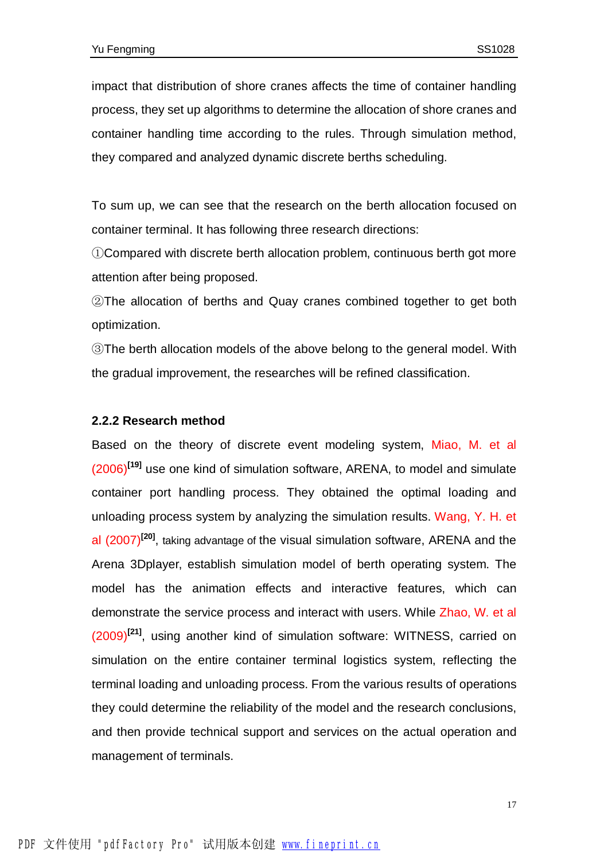impact that distribution of shore cranes affects the time of container handling process, they set up algorithms to determine the allocation of shore cranes and container handling time according to the rules. Through simulation method, they compared and analyzed dynamic discrete berths scheduling.

To sum up, we can see that the research on the berth allocation focused on container terminal. It has following three research directions:

①Compared with discrete berth allocation problem, continuous berth got more attention after being proposed.

②The allocation of berths and Quay cranes combined together to get both optimization.

③The berth allocation models of the above belong to the general model. With the gradual improvement, the researches will be refined classification.

#### **2.2.2 Research method**

Based on the theory of discrete event modeling system, Miao, M. et al (2006)**[19]** use one kind of simulation software, ARENA, to model and simulate container port handling process. They obtained the optimal loading and unloading process system by analyzing the simulation results. Wang, Y. H. et al (2007)**[20]** , taking advantage of the visual simulation software, ARENA and the Arena 3Dplayer, establish simulation model of berth operating system. The model has the animation effects and interactive features, which can demonstrate the service process and interact with users. While Zhao, W. et al (2009)**[21]** , using another kind of simulation software: WITNESS, carried on simulation on the entire container terminal logistics system, reflecting the terminal loading and unloading process. From the various results of operations they could determine the reliability of the model and the research conclusions, and then provide technical support and services on the actual operation and management of terminals.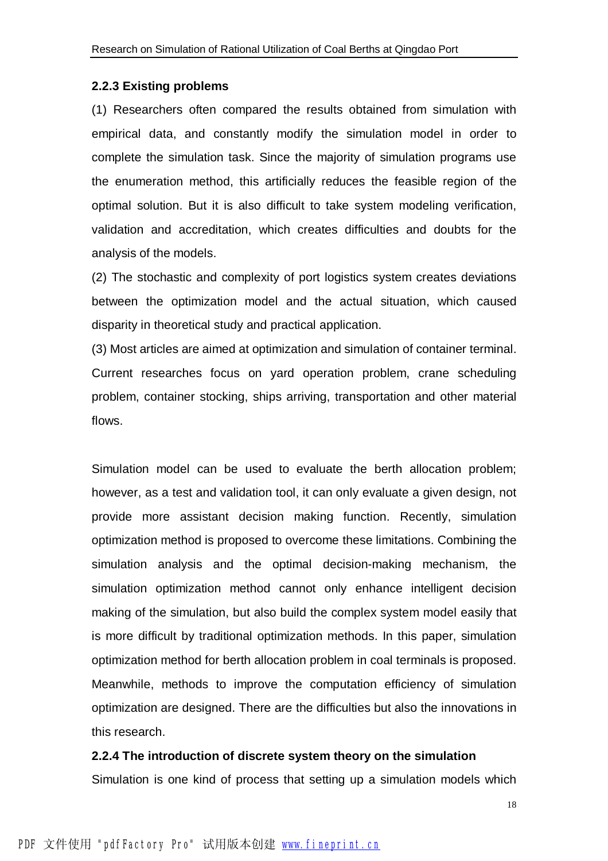#### **2.2.3 Existing problems**

(1) Researchers often compared the results obtained from simulation with empirical data, and constantly modify the simulation model in order to complete the simulation task. Since the majority of simulation programs use the enumeration method, this artificially reduces the feasible region of the optimal solution. But it is also difficult to take system modeling verification, validation and accreditation, which creates difficulties and doubts for the analysis of the models.

(2) The stochastic and complexity of port logistics system creates deviations between the optimization model and the actual situation, which caused disparity in theoretical study and practical application.

(3) Most articles are aimed at optimization and simulation of container terminal. Current researches focus on yard operation problem, crane scheduling problem, container stocking, ships arriving, transportation and other material flows.

Simulation model can be used to evaluate the berth allocation problem; however, as a test and validation tool, it can only evaluate a given design, not provide more assistant decision making function. Recently, simulation optimization method is proposed to overcome these limitations. Combining the simulation analysis and the optimal decision-making mechanism, the simulation optimization method cannot only enhance intelligent decision making of the simulation, but also build the complex system model easily that is more difficult by traditional optimization methods. In this paper, simulation optimization method for berth allocation problem in coal terminals is proposed. Meanwhile, methods to improve the computation efficiency of simulation optimization are designed. There are the difficulties but also the innovations in this research.

#### **2.2.4 The introduction of discrete system theory on the simulation**

Simulation is one kind of process that setting up a simulation models which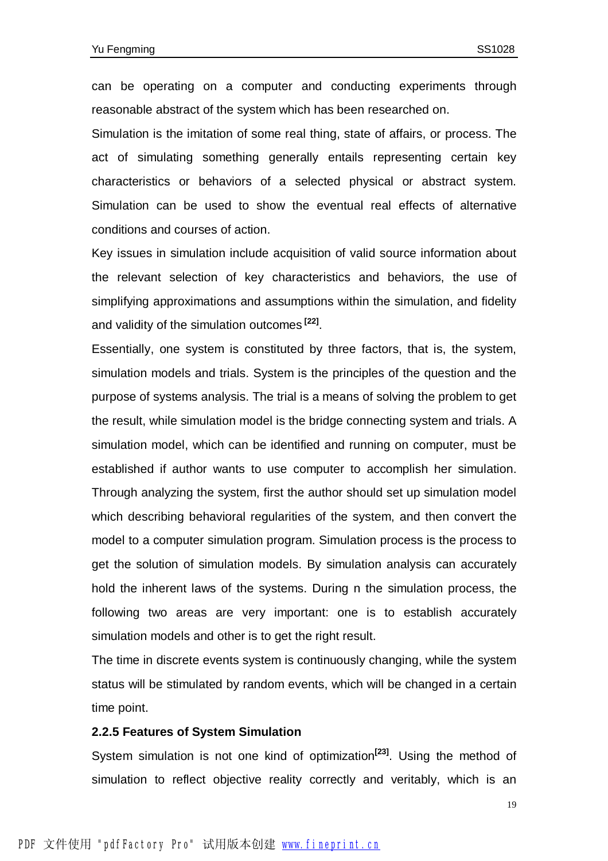can be operating on a computer and conducting experiments through reasonable abstract of the system which has been researched on.

Simulation is the imitation of some real thing, state of affairs, or process. The act of simulating something generally entails representing certain key characteristics or behaviors of a selected physical or abstract system. Simulation can be used to show the eventual real effects of alternative conditions and courses of action.

Key issues in simulation include acquisition of valid source information about the relevant selection of key characteristics and behaviors, the use of simplifying approximations and assumptions within the simulation, and fidelity and validity of the simulation outcomes **[22]** .

Essentially, one system is constituted by three factors, that is, the system, simulation models and trials. System is the principles of the question and the purpose of systems analysis. The trial is a means of solving the problem to get the result, while simulation model is the bridge connecting system and trials. A simulation model, which can be identified and running on computer, must be established if author wants to use computer to accomplish her simulation. Through analyzing the system, first the author should set up simulation model which describing behavioral regularities of the system, and then convert the model to a computer simulation program. Simulation process is the process to get the solution of simulation models. By simulation analysis can accurately hold the inherent laws of the systems. During n the simulation process, the following two areas are very important: one is to establish accurately simulation models and other is to get the right result.

The time in discrete events system is continuously changing, while the system status will be stimulated by random events, which will be changed in a certain time point.

#### **2.2.5 Features of System Simulation**

System simulation is not one kind of optimization<sup>[23]</sup>. Using the method of simulation to reflect objective reality correctly and veritably, which is an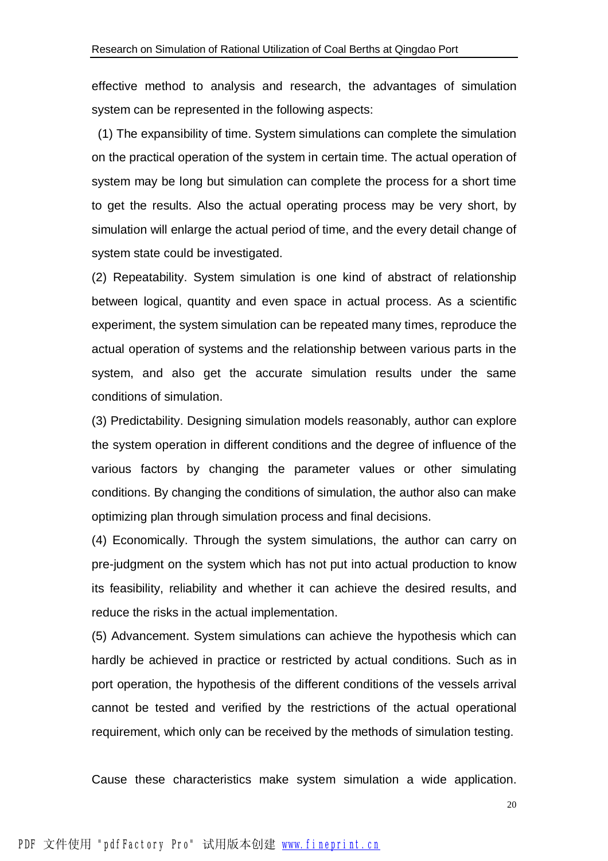effective method to analysis and research, the advantages of simulation system can be represented in the following aspects:

(1) The expansibility of time. System simulations can complete the simulation on the practical operation of the system in certain time. The actual operation of system may be long but simulation can complete the process for a short time to get the results. Also the actual operating process may be very short, by simulation will enlarge the actual period of time, and the every detail change of system state could be investigated.

(2) Repeatability. System simulation is one kind of abstract of relationship between logical, quantity and even space in actual process. As a scientific experiment, the system simulation can be repeated many times, reproduce the actual operation of systems and the relationship between various parts in the system, and also get the accurate simulation results under the same conditions of simulation.

(3) Predictability. Designing simulation models reasonably, author can explore the system operation in different conditions and the degree of influence of the various factors by changing the parameter values or other simulating conditions. By changing the conditions of simulation, the author also can make optimizing plan through simulation process and final decisions.

(4) Economically. Through the system simulations, the author can carry on pre-judgment on the system which has not put into actual production to know its feasibility, reliability and whether it can achieve the desired results, and reduce the risks in the actual implementation.

(5) Advancement. System simulations can achieve the hypothesis which can hardly be achieved in practice or restricted by actual conditions. Such as in port operation, the hypothesis of the different conditions of the vessels arrival cannot be tested and verified by the restrictions of the actual operational requirement, which only can be received by the methods of simulation testing.

Cause these characteristics make system simulation a wide application.

20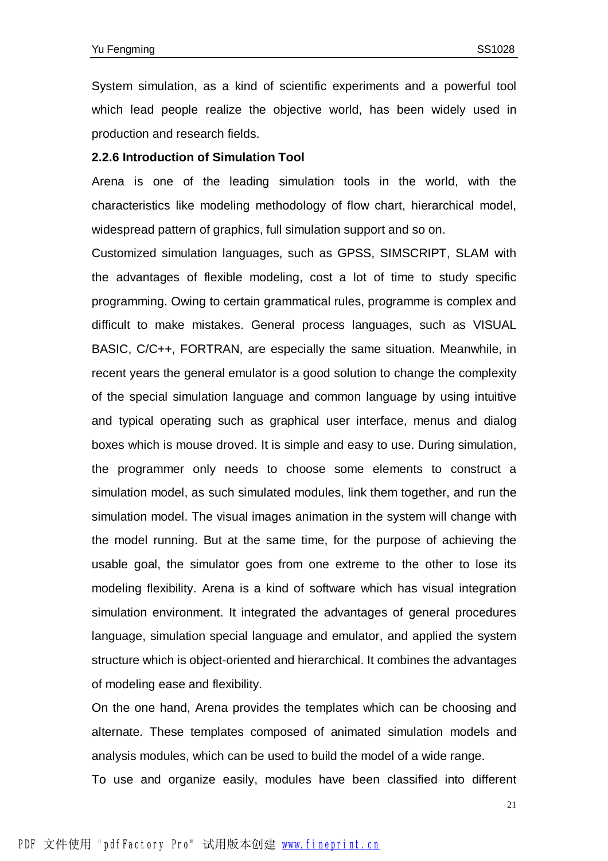System simulation, as a kind of scientific experiments and a powerful tool which lead people realize the objective world, has been widely used in production and research fields.

#### **2.2.6 Introduction of Simulation Tool**

Arena is one of the leading simulation tools in the world, with the characteristics like modeling methodology of flow chart, hierarchical model, widespread pattern of graphics, full simulation support and so on.

Customized simulation languages, such as GPSS, SIMSCRIPT, SLAM with the advantages of flexible modeling, cost a lot of time to study specific programming. Owing to certain grammatical rules, programme is complex and difficult to make mistakes. General process languages, such as VISUAL BASIC, C/C++, FORTRAN, are especially the same situation. Meanwhile, in recent years the general emulator is a good solution to change the complexity of the special simulation language and common language by using intuitive and typical operating such as graphical user interface, menus and dialog boxes which is mouse droved. It is simple and easy to use. During simulation, the programmer only needs to choose some elements to construct a simulation model, as such simulated modules, link them together, and run the simulation model. The visual images animation in the system will change with the model running. But at the same time, for the purpose of achieving the usable goal, the simulator goes from one extreme to the other to lose its modeling flexibility. Arena is a kind of software which has visual integration simulation environment. It integrated the advantages of general procedures language, simulation special language and emulator, and applied the system structure which is object-oriented and hierarchical. It combines the advantages of modeling ease and flexibility.

On the one hand, Arena provides the templates which can be choosing and alternate. These templates composed of animated simulation models and analysis modules, which can be used to build the model of a wide range.

To use and organize easily, modules have been classified into different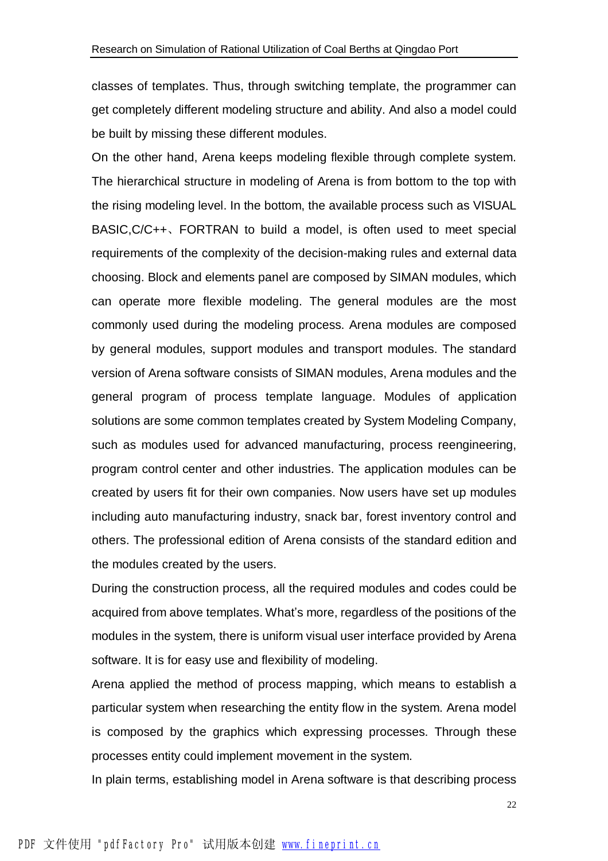classes of templates. Thus, through switching template, the programmer can get completely different modeling structure and ability. And also a model could be built by missing these different modules.

On the other hand, Arena keeps modeling flexible through complete system. The hierarchical structure in modeling of Arena is from bottom to the top with the rising modeling level. In the bottom, the available process such as VISUAL BASIC,C/C++、FORTRAN to build a model, is often used to meet special requirements of the complexity of the decision-making rules and external data choosing. Block and elements panel are composed by SIMAN modules, which can operate more flexible modeling. The general modules are the most commonly used during the modeling process. Arena modules are composed by general modules, support modules and transport modules. The standard version of Arena software consists of SIMAN modules, Arena modules and the general program of process template language. Modules of application solutions are some common templates created by System Modeling Company, such as modules used for advanced manufacturing, process reengineering, program control center and other industries. The application modules can be created by users fit for their own companies. Now users have set up modules including auto manufacturing industry, snack bar, forest inventory control and others. The professional edition of Arena consists of the standard edition and the modules created by the users.

During the construction process, all the required modules and codes could be acquired from above templates. What's more, regardless of the positions of the modules in the system, there is uniform visual user interface provided by Arena software. It is for easy use and flexibility of modeling.

Arena applied the method of process mapping, which means to establish a particular system when researching the entity flow in the system. Arena model is composed by the graphics which expressing processes. Through these processes entity could implement movement in the system.

In plain terms, establishing model in Arena software is that describing process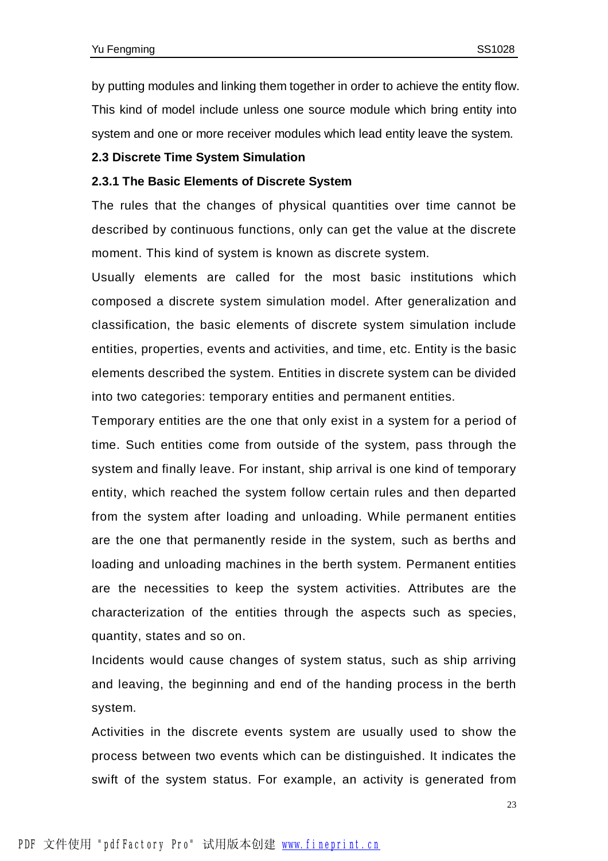by putting modules and linking them together in order to achieve the entity flow. This kind of model include unless one source module which bring entity into system and one or more receiver modules which lead entity leave the system.

#### **2.3 Discrete Time System Simulation**

#### **2.3.1 The Basic Elements of Discrete System**

The rules that the changes of physical quantities over time cannot be described by continuous functions, only can get the value at the discrete moment. This kind of system is known as discrete system.

Usually elements are called for the most basic institutions which composed a discrete system simulation model. After generalization and classification, the basic elements of discrete system simulation include entities, properties, events and activities, and time, etc. Entity is the basic elements described the system. Entities in discrete system can be divided into two categories: temporary entities and permanent entities.

Temporary entities are the one that only exist in a system for a period of time. Such entities come from outside of the system, pass through the system and finally leave. For instant, ship arrival is one kind of temporary entity, which reached the system follow certain rules and then departed from the system after loading and unloading. While permanent entities are the one that permanently reside in the system, such as berths and loading and unloading machines in the berth system. Permanent entities are the necessities to keep the system activities. Attributes are the characterization of the entities through the aspects such as species, quantity, states and so on.

Incidents would cause changes of system status, such as ship arriving and leaving, the beginning and end of the handing process in the berth system.

Activities in the discrete events system are usually used to show the process between two events which can be distinguished. It indicates the swift of the system status. For example, an activity is generated from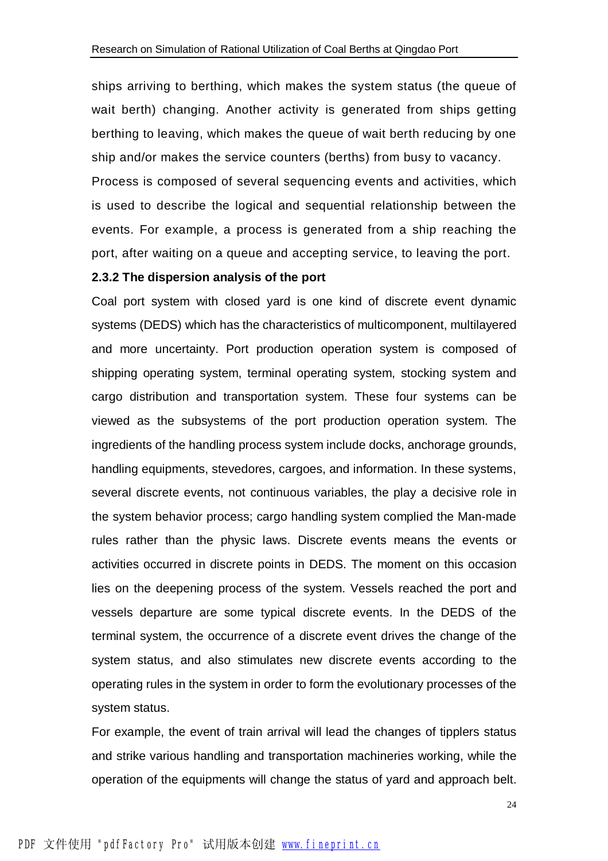ships arriving to berthing, which makes the system status (the queue of wait berth) changing. Another activity is generated from ships getting berthing to leaving, which makes the queue of wait berth reducing by one ship and/or makes the service counters (berths) from busy to vacancy. Process is composed of several sequencing events and activities, which is used to describe the logical and sequential relationship between the events. For example, a process is generated from a ship reaching the port, after waiting on a queue and accepting service, to leaving the port.

#### **2.3.2 The dispersion analysis of the port**

Coal port system with closed yard is one kind of discrete event dynamic systems (DEDS) which has the characteristics of multicomponent, multilayered and more uncertainty. Port production operation system is composed of shipping operating system, terminal operating system, stocking system and cargo distribution and transportation system. These four systems can be viewed as the subsystems of the port production operation system. The ingredients of the handling process system include docks, anchorage grounds, handling equipments, stevedores, cargoes, and information. In these systems, several discrete events, not continuous variables, the play a decisive role in the system behavior process; cargo handling system complied the Man-made rules rather than the physic laws. Discrete events means the events or activities occurred in discrete points in DEDS. The moment on this occasion lies on the deepening process of the system. Vessels reached the port and vessels departure are some typical discrete events. In the DEDS of the terminal system, the occurrence of a discrete event drives the change of the system status, and also stimulates new discrete events according to the operating rules in the system in order to form the evolutionary processes of the system status.

For example, the event of train arrival will lead the changes of tipplers status and strike various handling and transportation machineries working, while the operation of the equipments will change the status of yard and approach belt.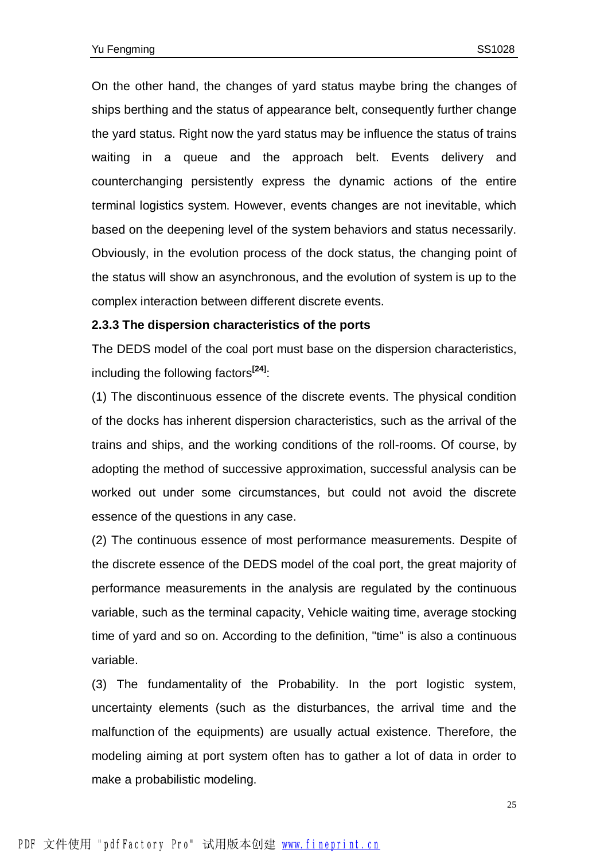On the other hand, the changes of yard status maybe bring the changes of ships berthing and the status of appearance belt, consequently further change the yard status. Right now the yard status may be influence the status of trains waiting in a queue and the approach belt. Events delivery and counterchanging persistently express the dynamic actions of the entire terminal logistics system. However, events changes are not inevitable, which based on the deepening level of the system behaviors and status necessarily. Obviously, in the evolution process of the dock status, the changing point of the status will show an asynchronous, and the evolution of system is up to the complex interaction between different discrete events.

#### **2.3.3 The dispersion characteristics of the ports**

The DEDS model of the coal port must base on the dispersion characteristics, including the following factors**[24]**:

(1) The discontinuous essence of the discrete events. The physical condition of the docks has inherent dispersion characteristics, such as the arrival of the trains and ships, and the working conditions of the roll-rooms. Of course, by adopting the method of successive approximation, successful analysis can be worked out under some circumstances, but could not avoid the discrete essence of the questions in any case.

(2) The continuous essence of most performance measurements. Despite of the discrete essence of the DEDS model of the coal port, the great majority of performance measurements in the analysis are regulated by the continuous variable, such as the terminal capacity, Vehicle waiting time, average stocking time of yard and so on. According to the definition, "time" is also a continuous variable.

(3) The fundamentality of the Probability. In the port logistic system, uncertainty elements (such as the disturbances, the arrival time and the malfunction of the equipments) are usually actual existence. Therefore, the modeling aiming at port system often has to gather a lot of data in order to make a probabilistic modeling.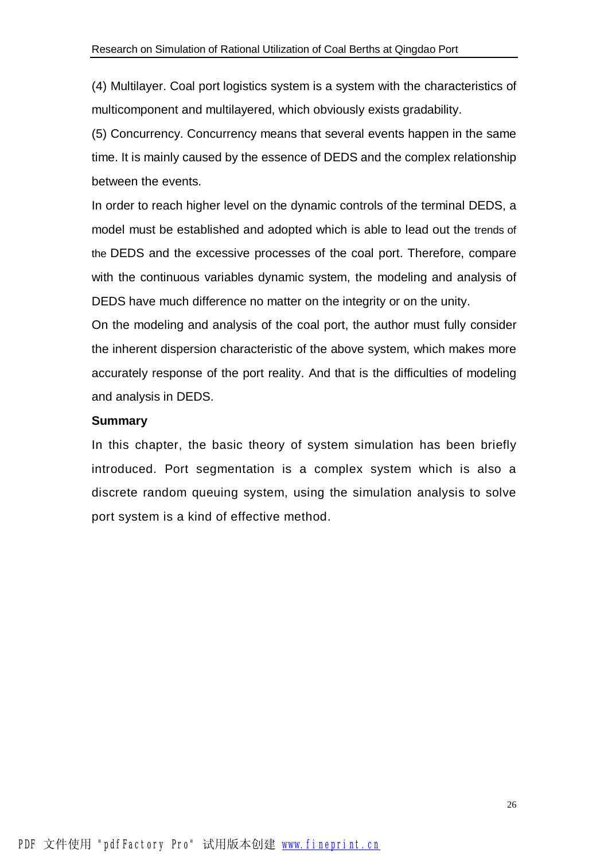(4) Multilayer. Coal port logistics system is a system with the characteristics of multicomponent and multilayered, which obviously exists gradability.

(5) Concurrency. Concurrency means that several events happen in the same time. It is mainly caused by the essence of DEDS and the complex relationship between the events.

In order to reach higher level on the dynamic controls of the terminal DEDS, a model must be established and adopted which is able to lead out the trends of the DEDS and the excessive processes of the coal port. Therefore, compare with the continuous variables dynamic system, the modeling and analysis of DEDS have much difference no matter on the integrity or on the unity.

On the modeling and analysis of the coal port, the author must fully consider the inherent dispersion characteristic of the above system, which makes more accurately response of the port reality. And that is the difficulties of modeling and analysis in DEDS.

#### **Summary**

In this chapter, the basic theory of system simulation has been briefly introduced. Port segmentation is a complex system which is also a discrete random queuing system, using the simulation analysis to solve port system is a kind of effective method.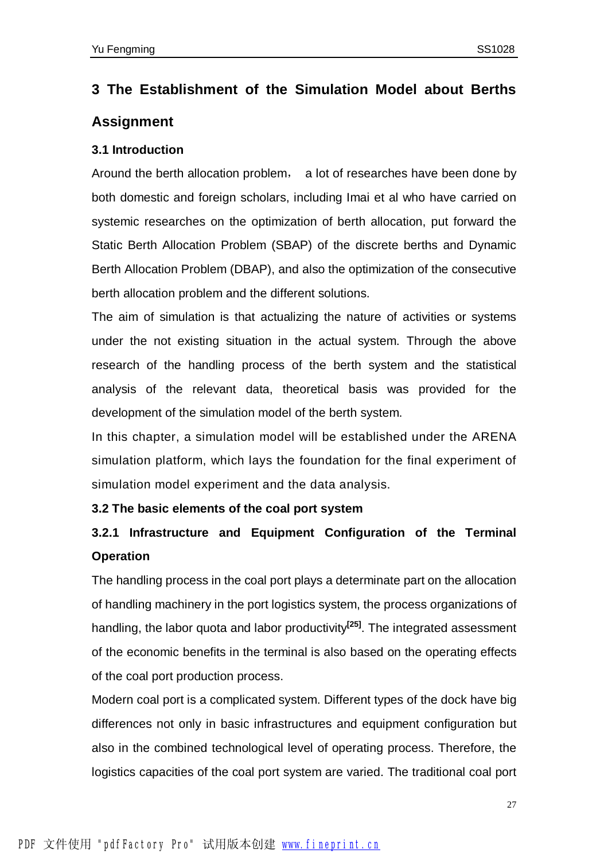## **3 The Establishment of the Simulation Model about Berths Assignment**

#### **3.1 Introduction**

Around the berth allocation problem, a lot of researches have been done by both domestic and foreign scholars, including Imai et al who have carried on systemic researches on the optimization of berth allocation, put forward the Static Berth Allocation Problem (SBAP) of the discrete berths and Dynamic Berth Allocation Problem (DBAP), and also the optimization of the consecutive berth allocation problem and the different solutions.

The aim of simulation is that actualizing the nature of activities or systems under the not existing situation in the actual system. Through the above research of the handling process of the berth system and the statistical analysis of the relevant data, theoretical basis was provided for the development of the simulation model of the berth system.

In this chapter, a simulation model will be established under the ARENA simulation platform, which lays the foundation for the final experiment of simulation model experiment and the data analysis.

#### **3.2 The basic elements of the coal port system**

## **3.2.1 Infrastructure and Equipment Configuration of the Terminal Operation**

The handling process in the coal port plays a determinate part on the allocation of handling machinery in the port logistics system, the process organizations of handling, the labor quota and labor productivity**[25]** . The integrated assessment of the economic benefits in the terminal is also based on the operating effects of the coal port production process.

Modern coal port is a complicated system. Different types of the dock have big differences not only in basic infrastructures and equipment configuration but also in the combined technological level of operating process. Therefore, the logistics capacities of the coal port system are varied. The traditional coal port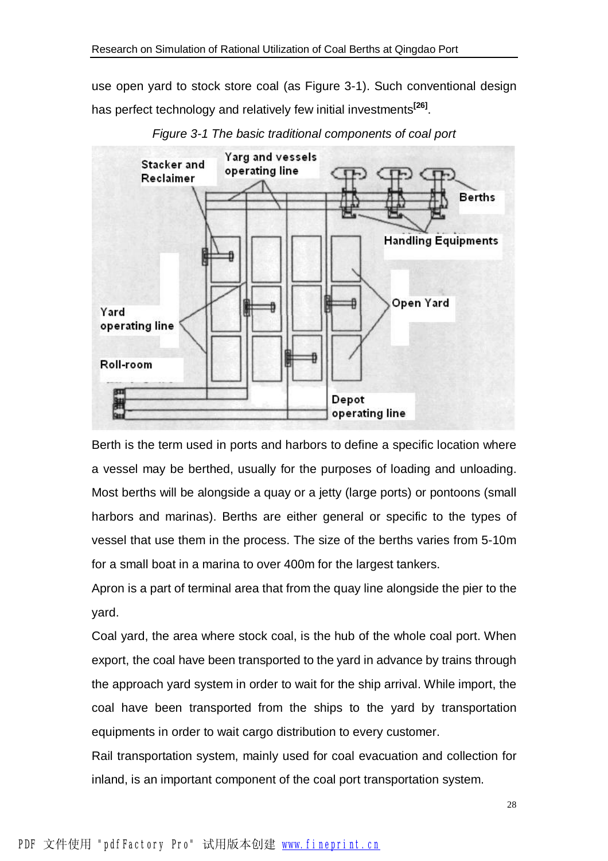use open yard to stock store coal (as Figure 3-1). Such conventional design has perfect technology and relatively few initial investments**[26]** .



*Figure 3-1 The basic traditional components of coal port* 

Berth is the term used in ports and harbors to define a specific location where a vessel may be berthed, usually for the purposes of loading and unloading. Most berths will be alongside a quay or a jetty (large ports) or pontoons (small harbors and marinas). Berths are either general or specific to the types of vessel that use them in the process. The size of the berths varies from 5-10m for a small boat in a marina to over 400m for the largest tankers.

Apron is a part of terminal area that from the quay line alongside the pier to the yard.

Coal yard, the area where stock coal, is the hub of the whole coal port. When export, the coal have been transported to the yard in advance by trains through the approach yard system in order to wait for the ship arrival. While import, the coal have been transported from the ships to the yard by transportation equipments in order to wait cargo distribution to every customer.

Rail transportation system, mainly used for coal evacuation and collection for inland, is an important component of the coal port transportation system.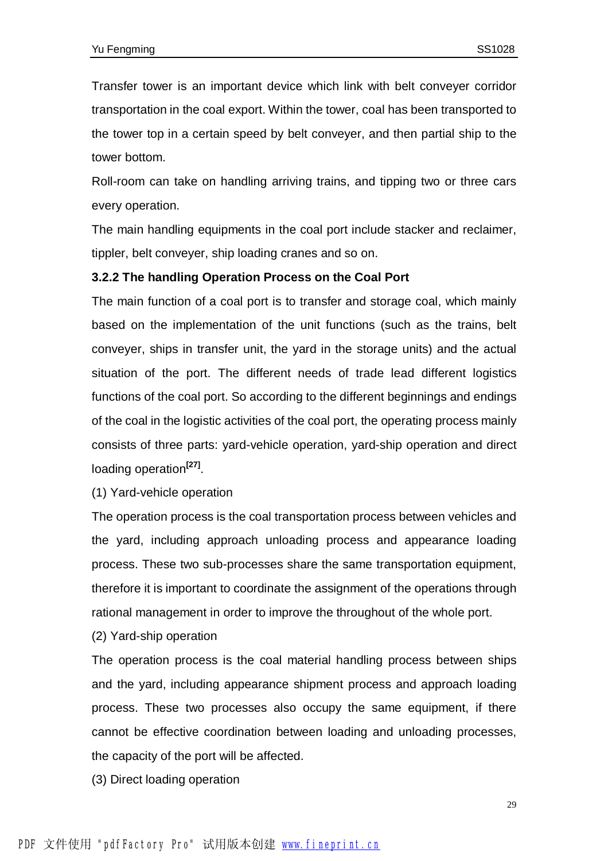Transfer tower is an important device which link with belt conveyer corridor transportation in the coal export. Within the tower, coal has been transported to the tower top in a certain speed by belt conveyer, and then partial ship to the tower bottom.

Roll-room can take on handling arriving trains, and tipping two or three cars every operation.

The main handling equipments in the coal port include stacker and reclaimer, tippler, belt conveyer, ship loading cranes and so on.

#### **3.2.2 The handling Operation Process on the Coal Port**

The main function of a coal port is to transfer and storage coal, which mainly based on the implementation of the unit functions (such as the trains, belt conveyer, ships in transfer unit, the yard in the storage units) and the actual situation of the port. The different needs of trade lead different logistics functions of the coal port. So according to the different beginnings and endings of the coal in the logistic activities of the coal port, the operating process mainly consists of three parts: yard-vehicle operation, yard-ship operation and direct loading operation<sup>[27]</sup>.

(1) Yard-vehicle operation

The operation process is the coal transportation process between vehicles and the yard, including approach unloading process and appearance loading process. These two sub-processes share the same transportation equipment, therefore it is important to coordinate the assignment of the operations through rational management in order to improve the throughout of the whole port.

(2) Yard-ship operation

The operation process is the coal material handling process between ships and the yard, including appearance shipment process and approach loading process. These two processes also occupy the same equipment, if there cannot be effective coordination between loading and unloading processes, the capacity of the port will be affected.

(3) Direct loading operation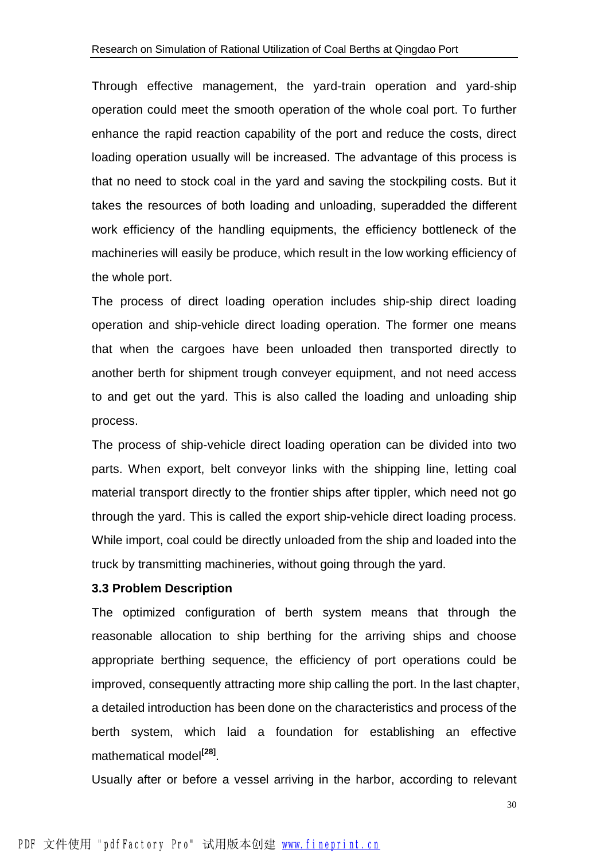Through effective management, the yard-train operation and yard-ship operation could meet the smooth operation of the whole coal port. To further enhance the rapid reaction capability of the port and reduce the costs, direct loading operation usually will be increased. The advantage of this process is that no need to stock coal in the yard and saving the stockpiling costs. But it takes the resources of both loading and unloading, superadded the different work efficiency of the handling equipments, the efficiency bottleneck of the machineries will easily be produce, which result in the low working efficiency of the whole port.

The process of direct loading operation includes ship-ship direct loading operation and ship-vehicle direct loading operation. The former one means that when the cargoes have been unloaded then transported directly to another berth for shipment trough conveyer equipment, and not need access to and get out the yard. This is also called the loading and unloading ship process.

The process of ship-vehicle direct loading operation can be divided into two parts. When export, belt conveyor links with the shipping line, letting coal material transport directly to the frontier ships after tippler, which need not go through the yard. This is called the export ship-vehicle direct loading process. While import, coal could be directly unloaded from the ship and loaded into the truck by transmitting machineries, without going through the yard.

#### **3.3 Problem Description**

The optimized configuration of berth system means that through the reasonable allocation to ship berthing for the arriving ships and choose appropriate berthing sequence, the efficiency of port operations could be improved, consequently attracting more ship calling the port. In the last chapter, a detailed introduction has been done on the characteristics and process of the berth system, which laid a foundation for establishing an effective mathematical model**[28]** .

Usually after or before a vessel arriving in the harbor, according to relevant

30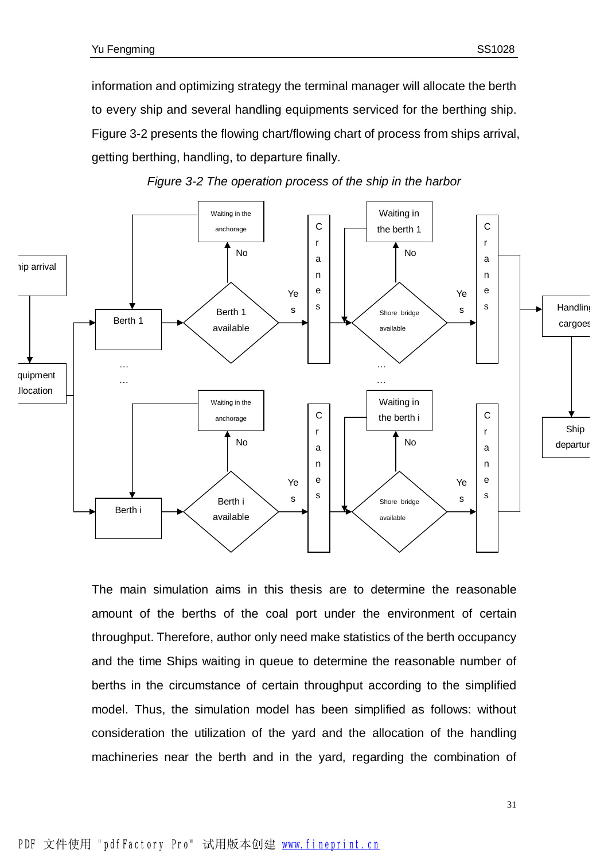information and optimizing strategy the terminal manager will allocate the berth to every ship and several handling equipments serviced for the berthing ship. Figure 3-2 presents the flowing chart/flowing chart of process from ships arrival, getting berthing, handling, to departure finally.





The main simulation aims in this thesis are to determine the reasonable amount of the berths of the coal port under the environment of certain throughput. Therefore, author only need make statistics of the berth occupancy and the time Ships waiting in queue to determine the reasonable number of berths in the circumstance of certain throughput according to the simplified model. Thus, the simulation model has been simplified as follows: without consideration the utilization of the yard and the allocation of the handling machineries near the berth and in the yard, regarding the combination of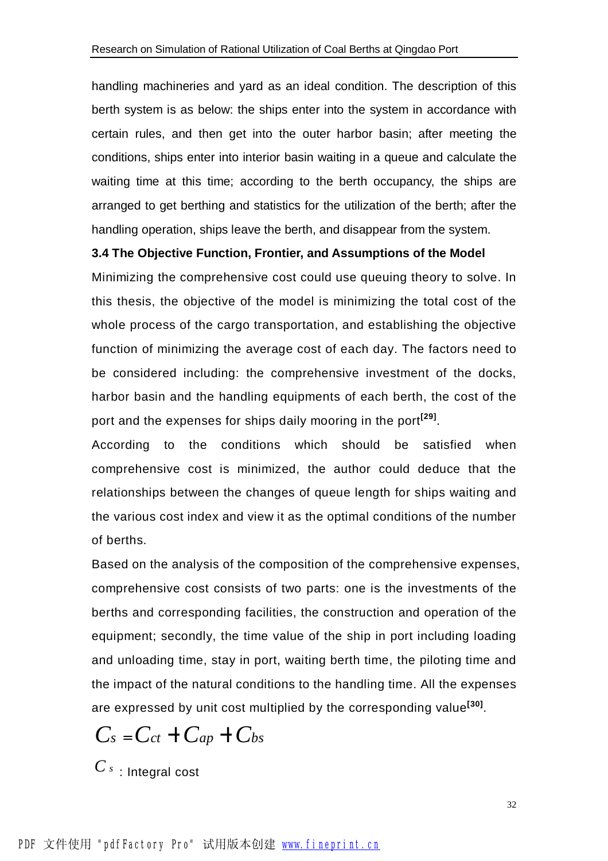handling machineries and yard as an ideal condition. The description of this berth system is as below: the ships enter into the system in accordance with certain rules, and then get into the outer harbor basin; after meeting the conditions, ships enter into interior basin waiting in a queue and calculate the waiting time at this time; according to the berth occupancy, the ships are arranged to get berthing and statistics for the utilization of the berth; after the handling operation, ships leave the berth, and disappear from the system.

#### **3.4 The Objective Function, Frontier, and Assumptions of the Model**

Minimizing the comprehensive cost could use queuing theory to solve. In this thesis, the objective of the model is minimizing the total cost of the whole process of the cargo transportation, and establishing the objective function of minimizing the average cost of each day. The factors need to be considered including: the comprehensive investment of the docks, harbor basin and the handling equipments of each berth, the cost of the port and the expenses for ships daily mooring in the port**[29]** .

According to the conditions which should be satisfied when comprehensive cost is minimized, the author could deduce that the relationships between the changes of queue length for ships waiting and the various cost index and view it as the optimal conditions of the number of berths.

Based on the analysis of the composition of the comprehensive expenses, comprehensive cost consists of two parts: one is the investments of the berths and corresponding facilities, the construction and operation of the equipment; secondly, the time value of the ship in port including loading and unloading time, stay in port, waiting berth time, the piloting time and the impact of the natural conditions to the handling time. All the expenses are expressed by unit cost multiplied by the corresponding value**[30]** .

$$
C_s = C_{ct} + C_{ap} + C_{bs}
$$

*C <sup>s</sup>* : Integral cost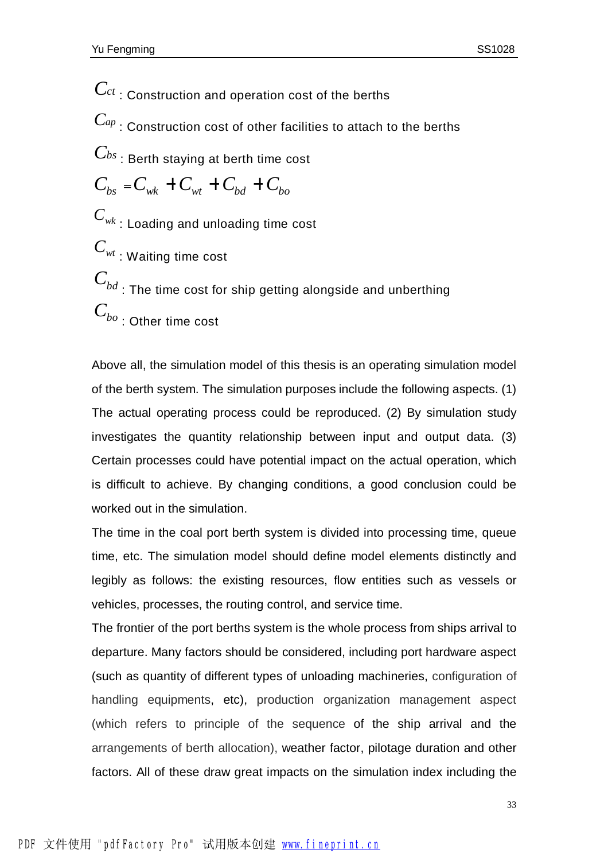$\mathbf{C}$ *ct* : Construction and operation cost of the berths  $\mathcal{C}_{^{ap}}$  : Construction cost of other facilities to attach to the berths *Cbs* : Berth staying at berth time cost  $C_{bs} = C_{wk} + C_{wt} + C_{bd} + C_{bo}$ *<sup>C</sup>wk* : Loading and unloading time cost *<sup>C</sup>wt* : Waiting time cost  $\displaystyle C_{bd}^{}$  : The time cost for ship getting alongside and unberthing *Cbo* : Other time cost

Above all, the simulation model of this thesis is an operating simulation model of the berth system. The simulation purposes include the following aspects. (1) The actual operating process could be reproduced. (2) By simulation study investigates the quantity relationship between input and output data. (3) Certain processes could have potential impact on the actual operation, which is difficult to achieve. By changing conditions, a good conclusion could be worked out in the simulation.

The time in the coal port berth system is divided into processing time, queue time, etc. The simulation model should define model elements distinctly and legibly as follows: the existing resources, flow entities such as vessels or vehicles, processes, the routing control, and service time.

The frontier of the port berths system is the whole process from ships arrival to departure. Many factors should be considered, including port hardware aspect (such as quantity of different types of unloading machineries, configuration of handling equipments, etc), production organization management aspect (which refers to principle of the sequence of the ship arrival and the arrangements of berth allocation), weather factor, pilotage duration and other factors. All of these draw great impacts on the simulation index including the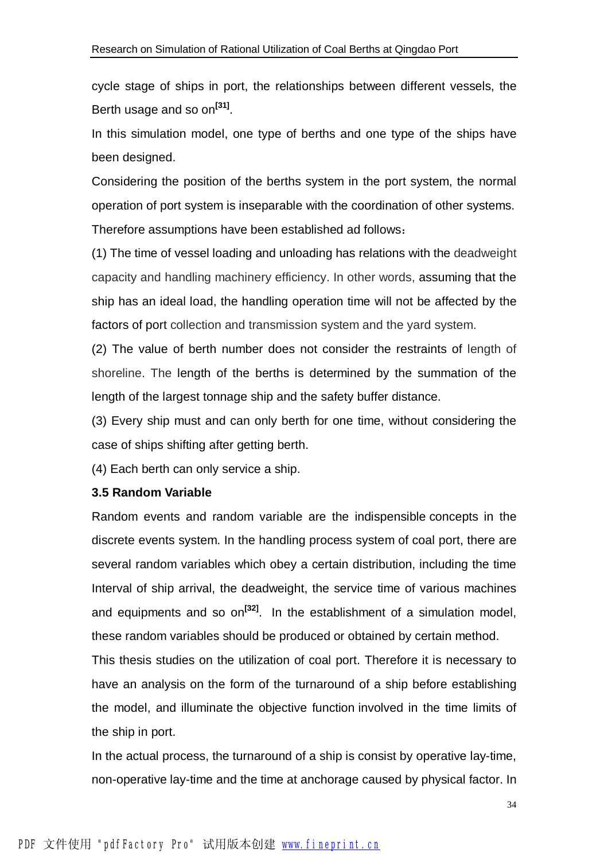cycle stage of ships in port, the relationships between different vessels, the Berth usage and so on<sup>[31]</sup>.

In this simulation model, one type of berths and one type of the ships have been designed.

Considering the position of the berths system in the port system, the normal operation of port system is inseparable with the coordination of other systems. Therefore assumptions have been established ad follows:

(1) The time of vessel loading and unloading has relations with the deadweight capacity and handling machinery efficiency. In other words, assuming that the ship has an ideal load, the handling operation time will not be affected by the factors of port collection and transmission system and the yard system.

(2) The value of berth number does not consider the restraints of length of shoreline. The length of the berths is determined by the summation of the length of the largest tonnage ship and the safety buffer distance.

(3) Every ship must and can only berth for one time, without considering the case of ships shifting after getting berth.

(4) Each berth can only service a ship.

#### **3.5 Random Variable**

Random events and random variable are the indispensible concepts in the discrete events system. In the handling process system of coal port, there are several random variables which obey a certain distribution, including the time Interval of ship arrival, the deadweight, the service time of various machines and equipments and so on**[32]** . In the establishment of a simulation model, these random variables should be produced or obtained by certain method.

This thesis studies on the utilization of coal port. Therefore it is necessary to have an analysis on the form of the turnaround of a ship before establishing the model, and illuminate the objective function involved in the time limits of the ship in port.

In the actual process, the turnaround of a ship is consist by operative lay-time, non-operative lay-time and the time at anchorage caused by physical factor. In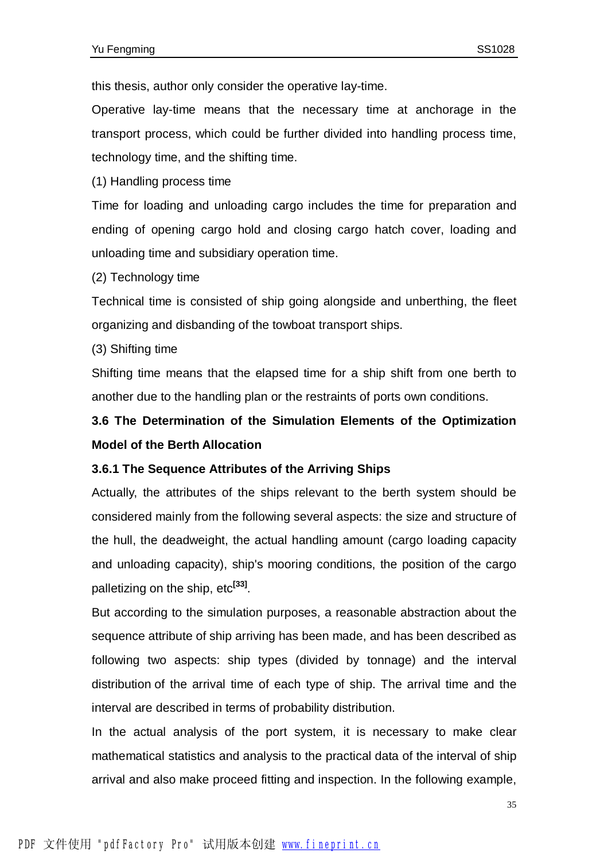this thesis, author only consider the operative lay-time.

Operative lay-time means that the necessary time at anchorage in the transport process, which could be further divided into handling process time, technology time, and the shifting time.

(1) Handling process time

Time for loading and unloading cargo includes the time for preparation and ending of opening cargo hold and closing cargo hatch cover, loading and unloading time and subsidiary operation time.

(2) Technology time

Technical time is consisted of ship going alongside and unberthing, the fleet organizing and disbanding of the towboat transport ships.

(3) Shifting time

Shifting time means that the elapsed time for a ship shift from one berth to another due to the handling plan or the restraints of ports own conditions.

**3.6 The Determination of the Simulation Elements of the Optimization Model of the Berth Allocation** 

#### **3.6.1 The Sequence Attributes of the Arriving Ships**

Actually, the attributes of the ships relevant to the berth system should be considered mainly from the following several aspects: the size and structure of the hull, the deadweight, the actual handling amount (cargo loading capacity and unloading capacity), ship's mooring conditions, the position of the cargo palletizing on the ship, etc**[33]** .

But according to the simulation purposes, a reasonable abstraction about the sequence attribute of ship arriving has been made, and has been described as following two aspects: ship types (divided by tonnage) and the interval distribution of the arrival time of each type of ship. The arrival time and the interval are described in terms of probability distribution.

In the actual analysis of the port system, it is necessary to make clear mathematical statistics and analysis to the practical data of the interval of ship arrival and also make proceed fitting and inspection. In the following example,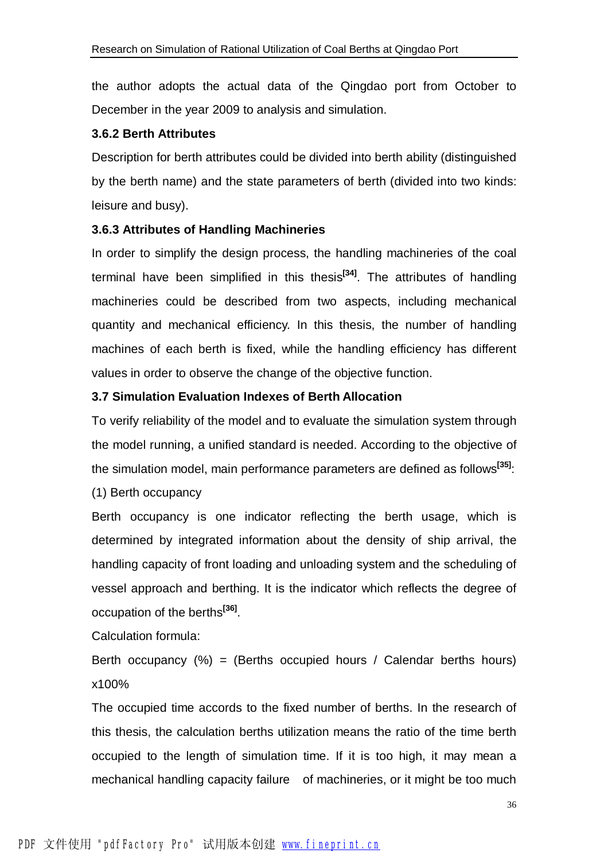the author adopts the actual data of the Qingdao port from October to December in the year 2009 to analysis and simulation.

#### **3.6.2 Berth Attributes**

Description for berth attributes could be divided into berth ability (distinguished by the berth name) and the state parameters of berth (divided into two kinds: leisure and busy).

#### **3.6.3 Attributes of Handling Machineries**

In order to simplify the design process, the handling machineries of the coal terminal have been simplified in this thesis**[34]** . The attributes of handling machineries could be described from two aspects, including mechanical quantity and mechanical efficiency. In this thesis, the number of handling machines of each berth is fixed, while the handling efficiency has different values in order to observe the change of the objective function.

#### **3.7 Simulation Evaluation Indexes of Berth Allocation**

To verify reliability of the model and to evaluate the simulation system through the model running, a unified standard is needed. According to the objective of the simulation model, main performance parameters are defined as follows**[35]**:

(1) Berth occupancy

Berth occupancy is one indicator reflecting the berth usage, which is determined by integrated information about the density of ship arrival, the handling capacity of front loading and unloading system and the scheduling of vessel approach and berthing. It is the indicator which reflects the degree of occupation of the berths**[36]** .

Calculation formula:

Berth occupancy  $(\%)$  = (Berths occupied hours / Calendar berths hours) x100%

The occupied time accords to the fixed number of berths. In the research of this thesis, the calculation berths utilization means the ratio of the time berth occupied to the length of simulation time. If it is too high, it may mean a mechanical handling capacity failure of machineries, or it might be too much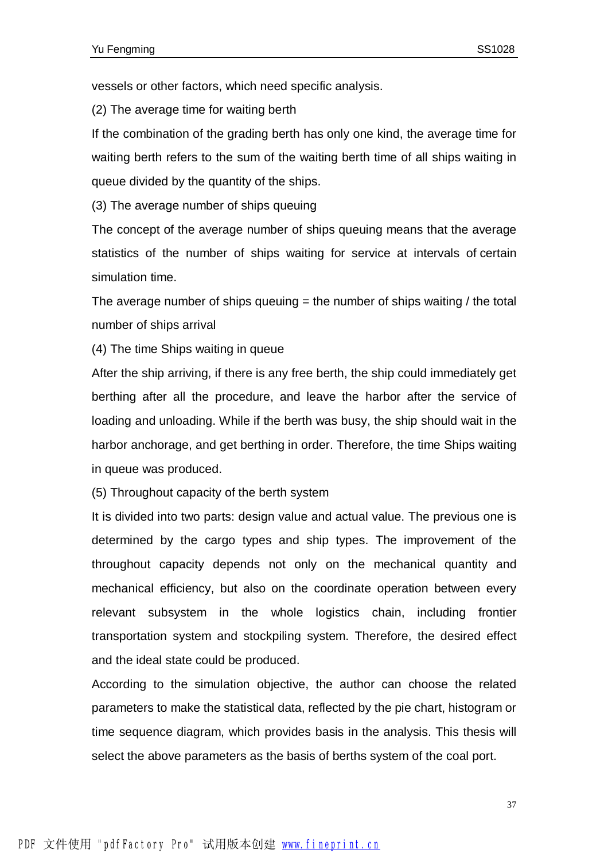vessels or other factors, which need specific analysis.

(2) The average time for waiting berth

If the combination of the grading berth has only one kind, the average time for waiting berth refers to the sum of the waiting berth time of all ships waiting in queue divided by the quantity of the ships.

(3) The average number of ships queuing

The concept of the average number of ships queuing means that the average statistics of the number of ships waiting for service at intervals of certain simulation time.

The average number of ships queuing  $=$  the number of ships waiting / the total number of ships arrival

(4) The time Ships waiting in queue

After the ship arriving, if there is any free berth, the ship could immediately get berthing after all the procedure, and leave the harbor after the service of loading and unloading. While if the berth was busy, the ship should wait in the harbor anchorage, and get berthing in order. Therefore, the time Ships waiting in queue was produced.

(5) Throughout capacity of the berth system

It is divided into two parts: design value and actual value. The previous one is determined by the cargo types and ship types. The improvement of the throughout capacity depends not only on the mechanical quantity and mechanical efficiency, but also on the coordinate operation between every relevant subsystem in the whole logistics chain, including frontier transportation system and stockpiling system. Therefore, the desired effect and the ideal state could be produced.

According to the simulation objective, the author can choose the related parameters to make the statistical data, reflected by the pie chart, histogram or time sequence diagram, which provides basis in the analysis. This thesis will select the above parameters as the basis of berths system of the coal port.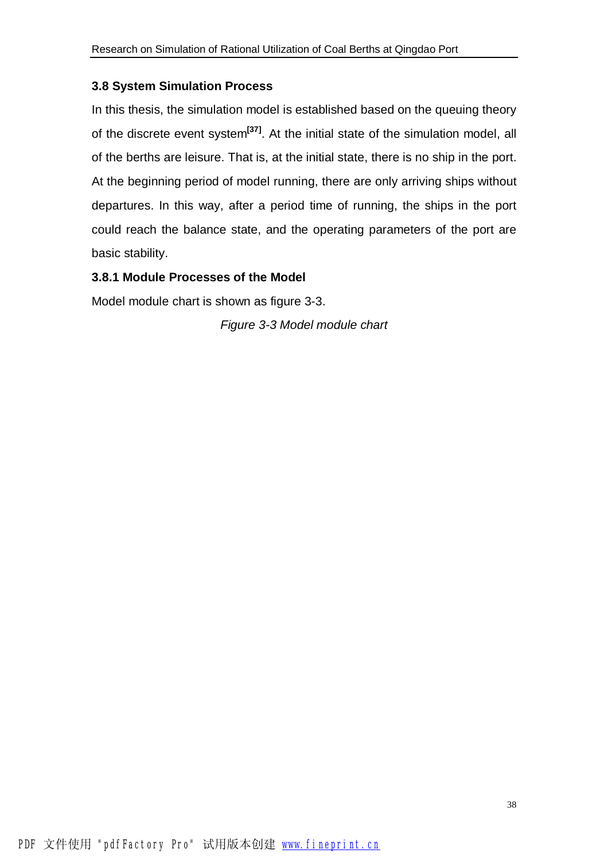#### **3.8 System Simulation Process**

In this thesis, the simulation model is established based on the queuing theory of the discrete event system**[37]** . At the initial state of the simulation model, all of the berths are leisure. That is, at the initial state, there is no ship in the port. At the beginning period of model running, there are only arriving ships without departures. In this way, after a period time of running, the ships in the port could reach the balance state, and the operating parameters of the port are basic stability.

#### **3.8.1 Module Processes of the Model**

Model module chart is shown as figure 3-3.

*Figure 3-3 Model module chart*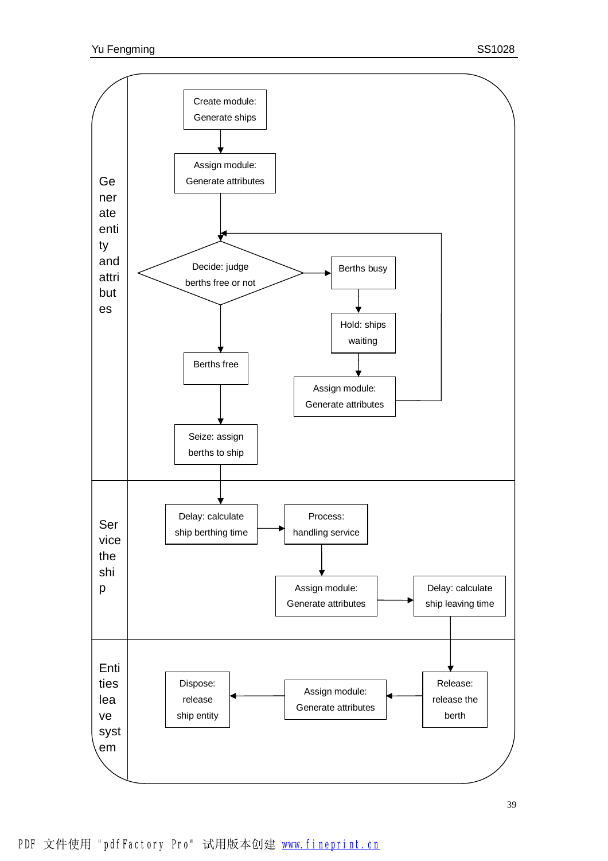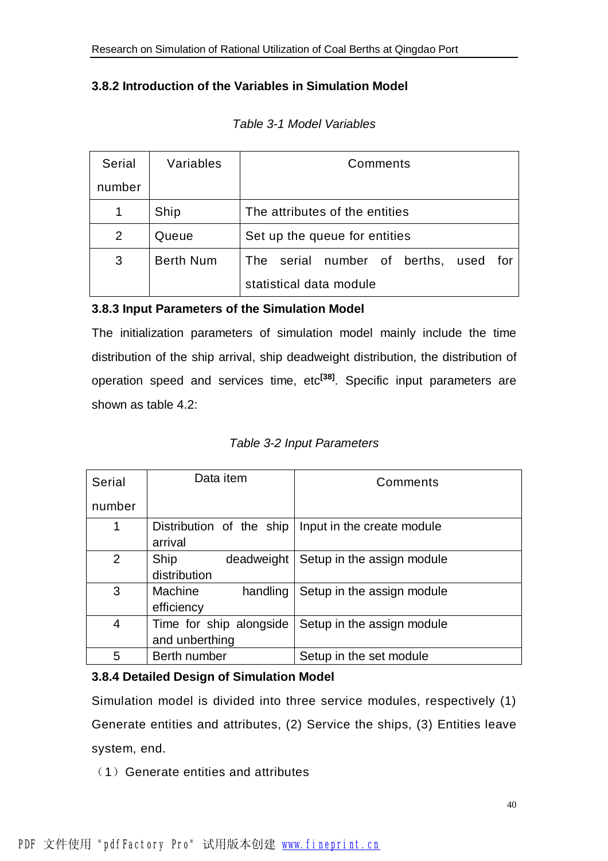#### **3.8.2 Introduction of the Variables in Simulation Model**

| <b>Serial</b> | Variables        | Comments                                    |  |  |  |
|---------------|------------------|---------------------------------------------|--|--|--|
| number        |                  |                                             |  |  |  |
|               | Ship             | The attributes of the entities              |  |  |  |
| 2             | Queue            | Set up the queue for entities               |  |  |  |
| 3             | <b>Berth Num</b> | serial number of berths, used<br>The<br>for |  |  |  |
|               |                  | statistical data module                     |  |  |  |

#### *Table 3-1 Model Variables*

#### **3.8.3 Input Parameters of the Simulation Model**

The initialization parameters of simulation model mainly include the time distribution of the ship arrival, ship deadweight distribution, the distribution of operation speed and services time, etc**[38]** . Specific input parameters are shown as table 4.2:

*Table 3-2 Input Parameters* 

| Serial | Data item                                 | Comments                   |
|--------|-------------------------------------------|----------------------------|
| number |                                           |                            |
| 1      | Distribution of the ship<br>arrival       | Input in the create module |
| 2      | Ship<br>deadweight<br>distribution        | Setup in the assign module |
| 3      | Machine<br>handling<br>efficiency         | Setup in the assign module |
| 4      | Time for ship alongside<br>and unberthing | Setup in the assign module |
| 5      | Berth number                              | Setup in the set module    |

#### **3.8.4 Detailed Design of Simulation Model**

Simulation model is divided into three service modules, respectively (1) Generate entities and attributes, (2) Service the ships, (3) Entities leave system, end.

(1)Generate entities and attributes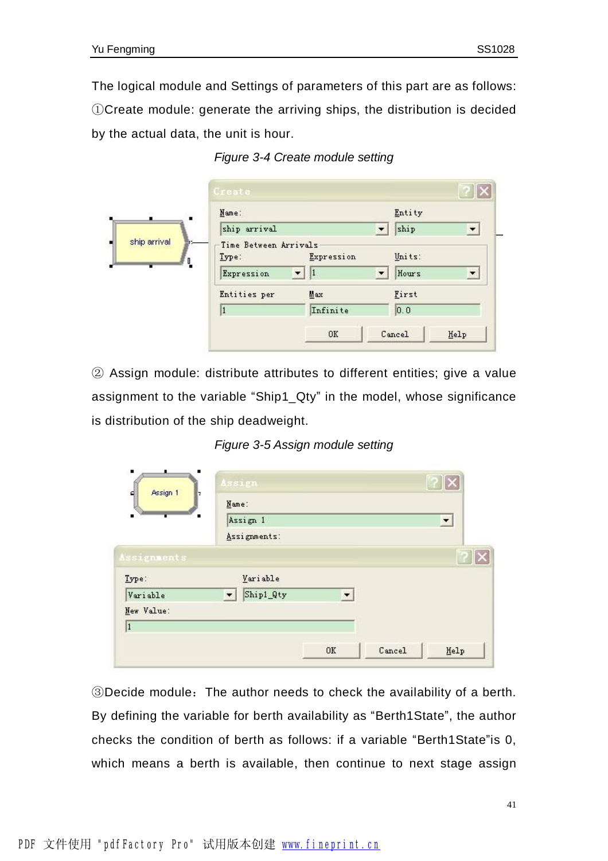The logical module and Settings of parameters of this part are as follows: ①Create module: generate the arriving ships, the distribution is decided by the actual data, the unit is hour.

| 96,67        | Name:                                        |                  | Entity                                                   |
|--------------|----------------------------------------------|------------------|----------------------------------------------------------|
|              | ship arrival                                 |                  | ship<br>$\overline{\phantom{a}}$<br>$\blacktriangledown$ |
| ship arrival | Time Between Arrivals<br>Type:<br>Expression | Expression<br> 1 | Units:<br>$\blacktriangledown$<br>Hours                  |
|              | Entities per                                 | Max              | First                                                    |
|              | 1                                            | Infinite         | 0, 0                                                     |

*Figure 3-4 Create module setting* 

② Assign module: distribute attributes to different entities; give a value assignment to the variable "Ship1\_Qty" in the model, whose significance is distribution of the ship deadweight.

*Figure 3-5 Assign module setting*

|                    | Assign                              |    |        | 7x                       |
|--------------------|-------------------------------------|----|--------|--------------------------|
| Assign 1<br>다<br>E | Name:                               |    |        |                          |
| $\blacksquare$     | Assign 1                            |    |        | $\overline{\phantom{a}}$ |
|                    | Assignments:                        |    |        |                          |
| <b>Assignments</b> |                                     |    |        |                          |
| Type:              | Variable                            |    |        |                          |
| Variable           | Ship1_Qty<br>$\left  \cdot \right $ | ▼. |        |                          |
| New Value:         |                                     |    |        |                          |
| 1                  |                                     |    |        |                          |
|                    |                                     | OK | Cancel | Help                     |

③Decide module:The author needs to check the availability of a berth. By defining the variable for berth availability as "Berth1State", the author checks the condition of berth as follows: if a variable "Berth1State"is 0, which means a berth is available, then continue to next stage assign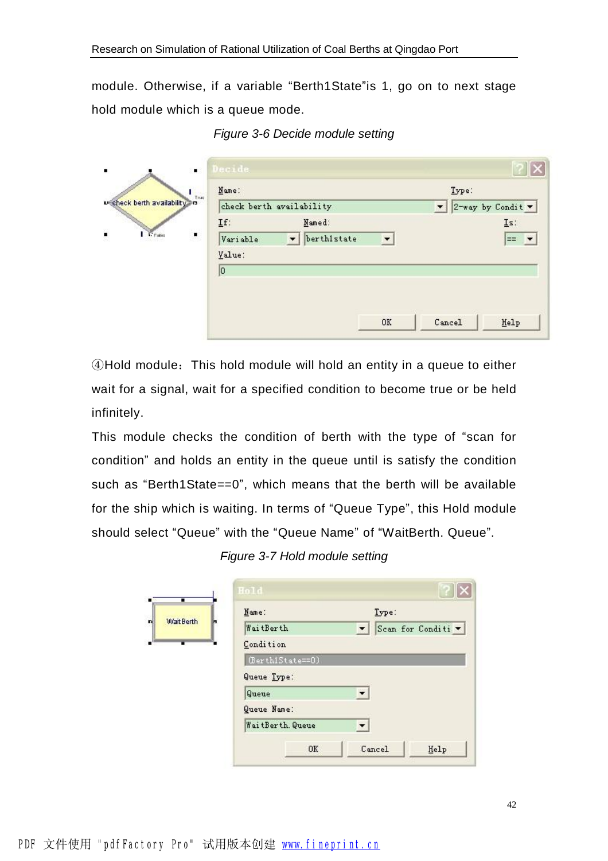module. Otherwise, if a variable "Berth1State"is 1, go on to next stage hold module which is a queue mode.

| Decide<br>٠                   |                                         |                      |                     |                                         |
|-------------------------------|-----------------------------------------|----------------------|---------------------|-----------------------------------------|
| Name:<br>T <sub>net</sub>     |                                         |                      | Type:               |                                         |
| u check berth availability in | check berth availability                |                      | $\vert \cdot \vert$ | $2$ -way by Condit $\blacktriangledown$ |
| If:<br>$\blacksquare$         | Named:                                  |                      |                     | Is:                                     |
| Variable                      | berthistate<br>$\overline{\phantom{a}}$ | $\blacktriangledown$ |                     | $=$                                     |
| Value:                        |                                         |                      |                     |                                         |
| 0                             |                                         |                      |                     |                                         |
|                               |                                         |                      |                     |                                         |
|                               |                                         |                      |                     |                                         |
|                               |                                         | OK                   | Cancel              | $\underline{\texttt{He1p}}$             |

*Figure 3-6 Decide module setting* 

④Hold module:This hold module will hold an entity in a queue to either wait for a signal, wait for a specified condition to become true or be held infinitely.

This module checks the condition of berth with the type of "scan for condition" and holds an entity in the queue until is satisfy the condition such as "Berth1State==0", which means that the berth will be available for the ship which is waiting. In terms of "Queue Type", this Hold module should select "Queue" with the "Queue Name" of "WaitBerth. Queue".

*Figure 3-7 Hold module setting* 

| Scan for Conditi v |
|--------------------|
|                    |
|                    |
|                    |
|                    |
|                    |
|                    |
|                    |
|                    |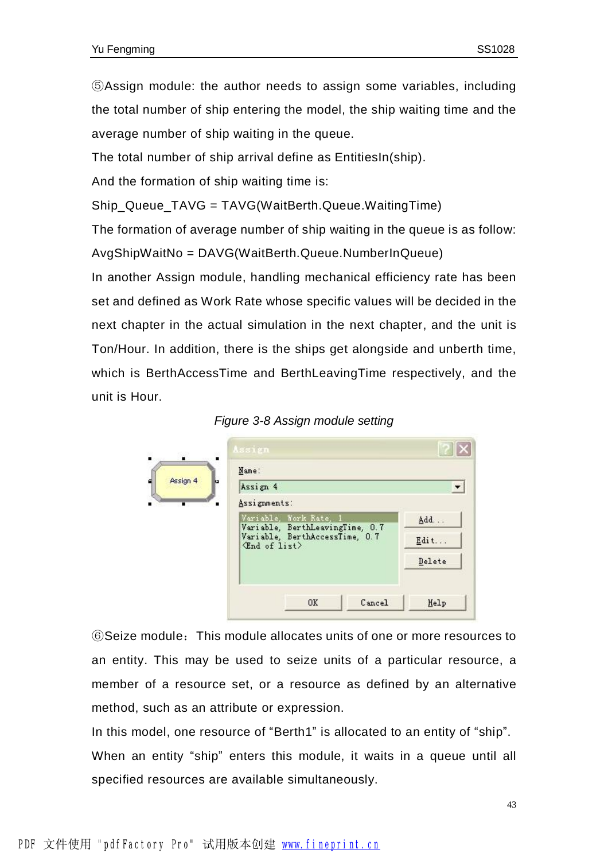⑤Assign module: the author needs to assign some variables, including the total number of ship entering the model, the ship waiting time and the average number of ship waiting in the queue.

The total number of ship arrival define as EntitiesIn(ship).

And the formation of ship waiting time is:

Ship\_Queue\_TAVG = TAVG(WaitBerth.Queue.WaitingTime)

The formation of average number of ship waiting in the queue is as follow: AvgShipWaitNo = DAVG(WaitBerth.Queue.NumberInQueue)

In another Assign module, handling mechanical efficiency rate has been set and defined as Work Rate whose specific values will be decided in the next chapter in the actual simulation in the next chapter, and the unit is Ton/Hour. In addition, there is the ships get alongside and unberth time, which is BerthAccessTime and BerthLeavingTime respectively, and the unit is Hour.





⑥Seize module:This module allocates units of one or more resources to an entity. This may be used to seize units of a particular resource, a member of a resource set, or a resource as defined by an alternative method, such as an attribute or expression.

In this model, one resource of "Berth1" is allocated to an entity of "ship". When an entity "ship" enters this module, it waits in a queue until all specified resources are available simultaneously.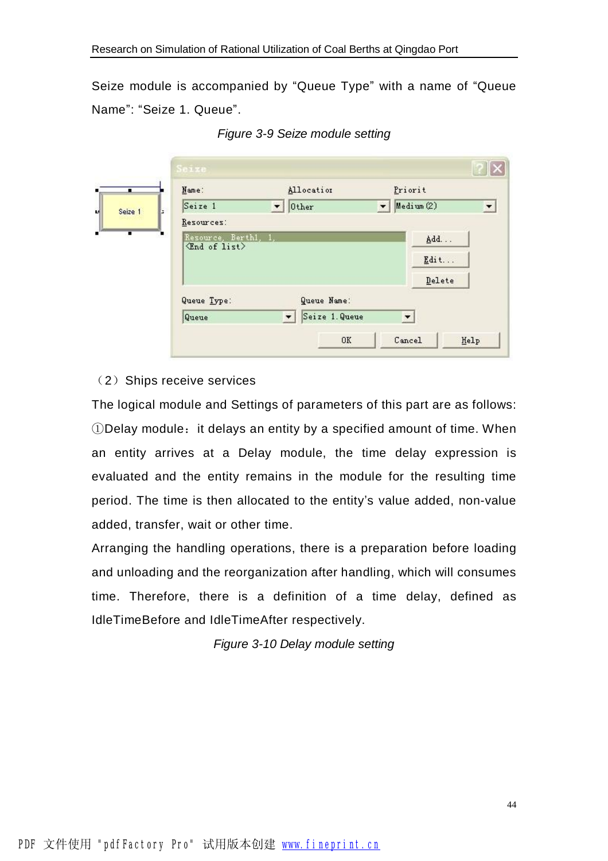Seize module is accompanied by "Queue Type" with a name of "Queue Name": "Seize 1. Queue".

|              | Name:                                                   | Allocation                   | Priorit                               |                |
|--------------|---------------------------------------------------------|------------------------------|---------------------------------------|----------------|
| Seize 1<br>ь | Seize 1                                                 | $\vert \cdot \vert$<br>0ther | Medium(2)<br>$\overline{\phantom{a}}$ | $\overline{ }$ |
|              | Resources:                                              |                              |                                       |                |
| т            | Resource, Berthl, 1,<br>$\langle$ End of list $\rangle$ |                              | Add                                   |                |
|              |                                                         |                              | $Edit$                                |                |
|              |                                                         |                              | Delete                                |                |
|              | Queue Type:                                             | Queue Name:                  |                                       |                |
|              |                                                         | Seize 1. Queue<br>$\vert$    | $\vert \cdot \vert$                   |                |

*Figure 3-9 Seize module setting* 

#### (2) Ships receive services

The logical module and Settings of parameters of this part are as follows:  $\Omega$ Delay module: it delays an entity by a specified amount of time. When an entity arrives at a Delay module, the time delay expression is evaluated and the entity remains in the module for the resulting time period. The time is then allocated to the entity's value added, non-value added, transfer, wait or other time.

Arranging the handling operations, there is a preparation before loading and unloading and the reorganization after handling, which will consumes time. Therefore, there is a definition of a time delay, defined as IdleTimeBefore and IdleTimeAfter respectively.

*Figure 3-10 Delay module setting*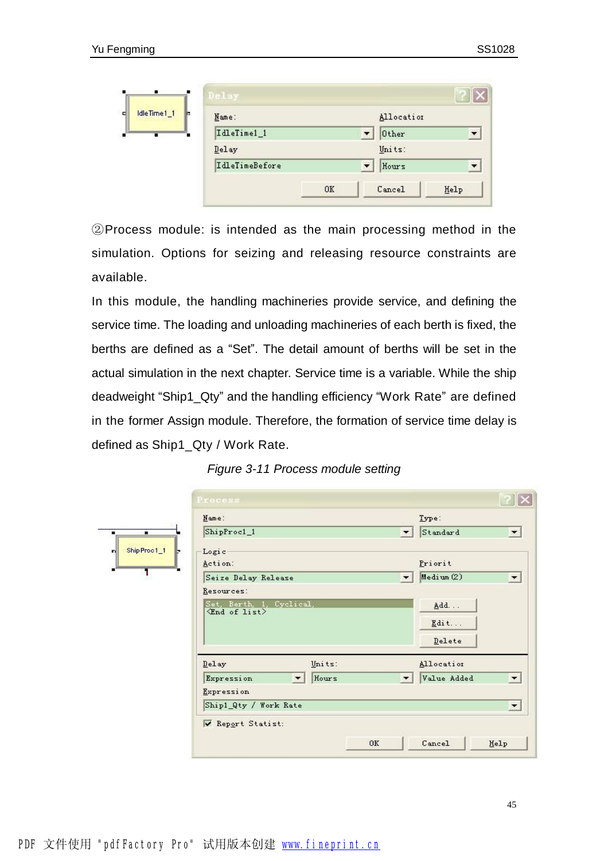| ٠           | Delay                 |    |                                   |      |
|-------------|-----------------------|----|-----------------------------------|------|
| IdleTime1_1 | Name:                 |    | Allocation                        |      |
| т           | IdleTime1_1           |    | $\overline{\phantom{a}}$<br>Other |      |
|             | Delay                 |    | Units:                            |      |
|             | <b>IdleTimeBefore</b> |    | Hours<br>$\overline{\phantom{a}}$ |      |
|             |                       | OK | Cancel                            | Help |

②Process module: is intended as the main processing method in the simulation. Options for seizing and releasing resource constraints are available.

In this module, the handling machineries provide service, and defining the service time. The loading and unloading machineries of each berth is fixed, the berths are defined as a "Set". The detail amount of berths will be set in the actual simulation in the next chapter. Service time is a variable. While the ship deadweight "Ship1\_Qty" and the handling efficiency "Work Rate" are defined in the former Assign module. Therefore, the formation of service time delay is defined as Ship1\_Qty / Work Rate.

| Figure 3-11 Process module setting |  |  |  |
|------------------------------------|--|--|--|
|------------------------------------|--|--|--|

| Name:                         |                                   |                      | Type:       |                           |
|-------------------------------|-----------------------------------|----------------------|-------------|---------------------------|
| ShipProcl_1<br>$\blacksquare$ |                                   | $\blacktriangledown$ | Standard    | ×                         |
| Ship Proc1_1<br>Logic         |                                   |                      |             |                           |
| Action:                       |                                   |                      | Priorit     |                           |
| Seize Delay Release           |                                   | $\blacktriangledown$ | Medium(2)   | E                         |
| Resources:                    |                                   |                      |             |                           |
|                               | Set, Berth, 1, Cyclical,          |                      | Add         |                           |
| <b>End of list&gt;</b>        |                                   |                      |             |                           |
|                               |                                   |                      |             |                           |
|                               |                                   |                      | $E$ dit     |                           |
|                               |                                   |                      | Delete      |                           |
| Delay                         | Units:                            |                      | Allocation  |                           |
|                               | Hours<br>$\overline{\phantom{a}}$ | $\blacktriangledown$ |             |                           |
| Expression<br>Expression      |                                   |                      | Value Added |                           |
| Ship1_Qty / Work Rate         |                                   |                      |             |                           |
| Report Statist:               |                                   |                      |             | ◚<br>$\blacktriangledown$ |
|                               |                                   | OK                   | Cancel      | Help                      |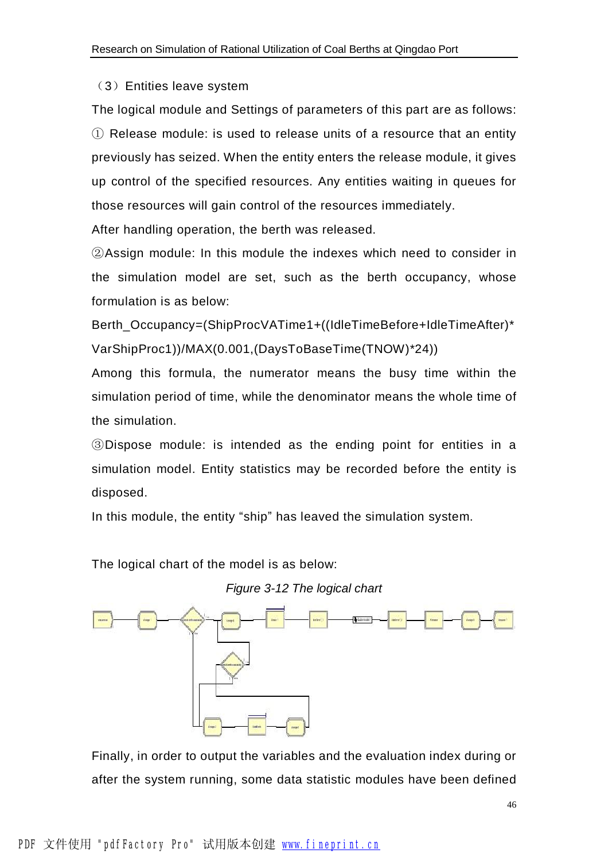#### (3)Entities leave system

The logical module and Settings of parameters of this part are as follows: ① Release module: is used to release units of a resource that an entity previously has seized. When the entity enters the release module, it gives up control of the specified resources. Any entities waiting in queues for those resources will gain control of the resources immediately.

After handling operation, the berth was released.

②Assign module: In this module the indexes which need to consider in the simulation model are set, such as the berth occupancy, whose formulation is as below:

Berth\_Occupancy=(ShipProcVATime1+((IdleTimeBefore+IdleTimeAfter)\* VarShipProc1))/MAX(0.001,(DaysToBaseTime(TNOW)\*24))

Among this formula, the numerator means the busy time within the simulation period of time, while the denominator means the whole time of the simulation.

③Dispose module: is intended as the ending point for entities in a simulation model. Entity statistics may be recorded before the entity is disposed.

In this module, the entity "ship" has leaved the simulation system.

The logical chart of the model is as below:





Finally, in order to output the variables and the evaluation index during or after the system running, some data statistic modules have been defined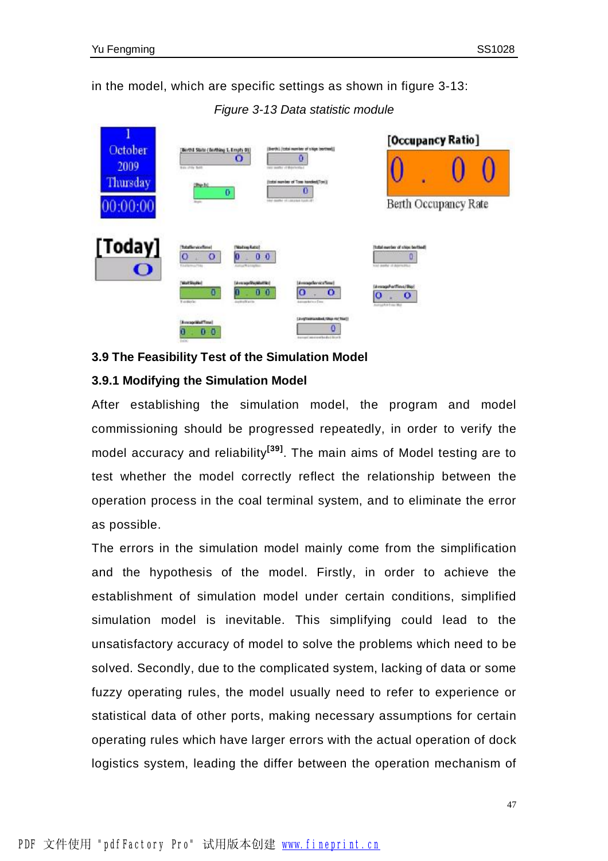in the model, which are specific settings as shown in figure 3-13:

*Figure 3-13 Data statistic module* 



#### **3.9 The Feasibility Test of the Simulation Model**

#### **3.9.1 Modifying the Simulation Model**

After establishing the simulation model, the program and model commissioning should be progressed repeatedly, in order to verify the model accuracy and reliability**[39]** . The main aims of Model testing are to test whether the model correctly reflect the relationship between the operation process in the coal terminal system, and to eliminate the error as possible.

The errors in the simulation model mainly come from the simplification and the hypothesis of the model. Firstly, in order to achieve the establishment of simulation model under certain conditions, simplified simulation model is inevitable. This simplifying could lead to the unsatisfactory accuracy of model to solve the problems which need to be solved. Secondly, due to the complicated system, lacking of data or some fuzzy operating rules, the model usually need to refer to experience or statistical data of other ports, making necessary assumptions for certain operating rules which have larger errors with the actual operation of dock logistics system, leading the differ between the operation mechanism of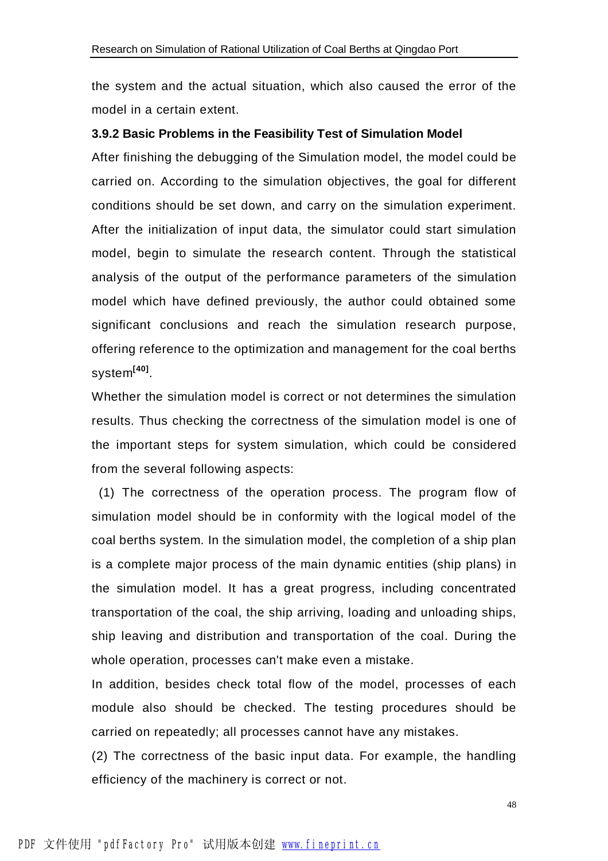the system and the actual situation, which also caused the error of the model in a certain extent.

#### **3.9.2 Basic Problems in the Feasibility Test of Simulation Model**

After finishing the debugging of the Simulation model, the model could be carried on. According to the simulation objectives, the goal for different conditions should be set down, and carry on the simulation experiment. After the initialization of input data, the simulator could start simulation model, begin to simulate the research content. Through the statistical analysis of the output of the performance parameters of the simulation model which have defined previously, the author could obtained some significant conclusions and reach the simulation research purpose, offering reference to the optimization and management for the coal berths system**[40]** .

Whether the simulation model is correct or not determines the simulation results. Thus checking the correctness of the simulation model is one of the important steps for system simulation, which could be considered from the several following aspects:

(1) The correctness of the operation process. The program flow of simulation model should be in conformity with the logical model of the coal berths system. In the simulation model, the completion of a ship plan is a complete major process of the main dynamic entities (ship plans) in the simulation model. It has a great progress, including concentrated transportation of the coal, the ship arriving, loading and unloading ships, ship leaving and distribution and transportation of the coal. During the whole operation, processes can't make even a mistake.

In addition, besides check total flow of the model, processes of each module also should be checked. The testing procedures should be carried on repeatedly; all processes cannot have any mistakes.

(2) The correctness of the basic input data. For example, the handling efficiency of the machinery is correct or not.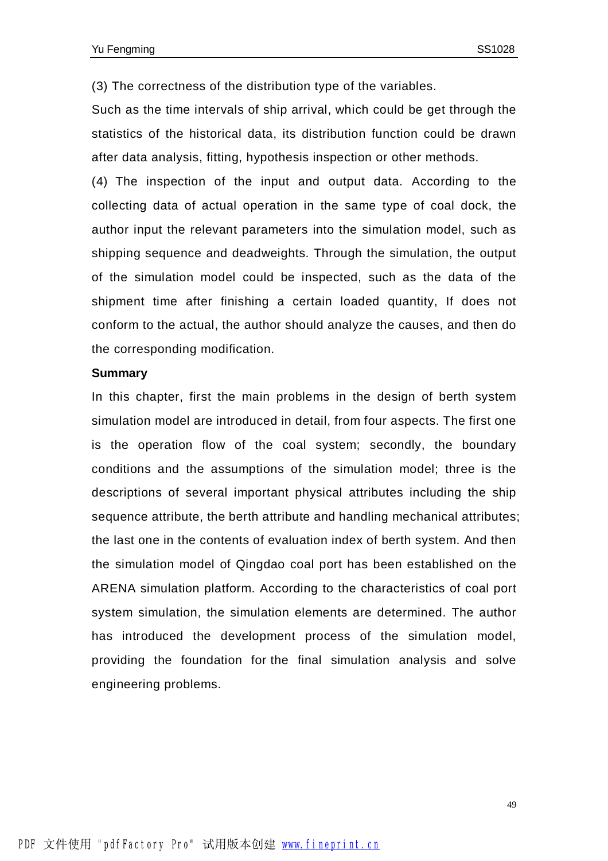(3) The correctness of the distribution type of the variables.

Such as the time intervals of ship arrival, which could be get through the statistics of the historical data, its distribution function could be drawn after data analysis, fitting, hypothesis inspection or other methods.

(4) The inspection of the input and output data. According to the collecting data of actual operation in the same type of coal dock, the author input the relevant parameters into the simulation model, such as shipping sequence and deadweights. Through the simulation, the output of the simulation model could be inspected, such as the data of the shipment time after finishing a certain loaded quantity, If does not conform to the actual, the author should analyze the causes, and then do the corresponding modification.

#### **Summary**

In this chapter, first the main problems in the design of berth system simulation model are introduced in detail, from four aspects. The first one is the operation flow of the coal system; secondly, the boundary conditions and the assumptions of the simulation model; three is the descriptions of several important physical attributes including the ship sequence attribute, the berth attribute and handling mechanical attributes; the last one in the contents of evaluation index of berth system. And then the simulation model of Qingdao coal port has been established on the ARENA simulation platform. According to the characteristics of coal port system simulation, the simulation elements are determined. The author has introduced the development process of the simulation model, providing the foundation for the final simulation analysis and solve engineering problems.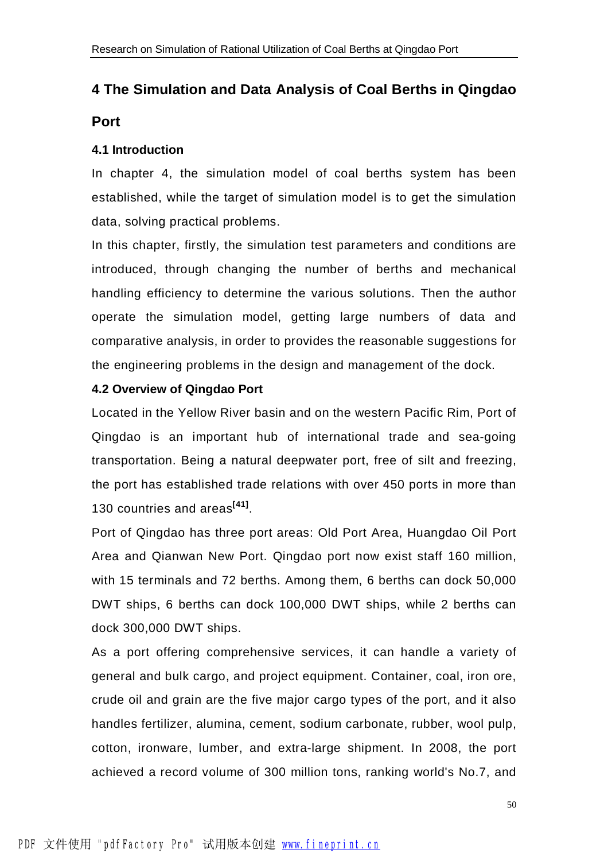## **4 The Simulation and Data Analysis of Coal Berths in Qingdao Port**

#### **4.1 Introduction**

In chapter 4, the simulation model of coal berths system has been established, while the target of simulation model is to get the simulation data, solving practical problems.

In this chapter, firstly, the simulation test parameters and conditions are introduced, through changing the number of berths and mechanical handling efficiency to determine the various solutions. Then the author operate the simulation model, getting large numbers of data and comparative analysis, in order to provides the reasonable suggestions for the engineering problems in the design and management of the dock.

#### **4.2 Overview of Qingdao Port**

Located in the Yellow River basin and on the western Pacific Rim, Port of Qingdao is an important hub of international trade and sea-going transportation. Being a natural deepwater port, free of silt and freezing, the port has established trade relations with over 450 ports in more than 130 countries and areas**[41]** .

Port of Qingdao has three port areas: Old Port Area, Huangdao Oil Port Area and Qianwan New Port. Qingdao port now exist staff 160 million, with 15 terminals and 72 berths. Among them, 6 berths can dock 50,000 DWT ships, 6 berths can dock 100,000 DWT ships, while 2 berths can dock 300,000 DWT ships.

As a port offering comprehensive services, it can handle a variety of general and bulk cargo, and project equipment. Container, coal, iron ore, crude oil and grain are the five major cargo types of the port, and it also handles fertilizer, alumina, cement, sodium carbonate, rubber, wool pulp, cotton, ironware, lumber, and extra-large shipment. In 2008, the port achieved a record volume of 300 million tons, ranking world's No.7, and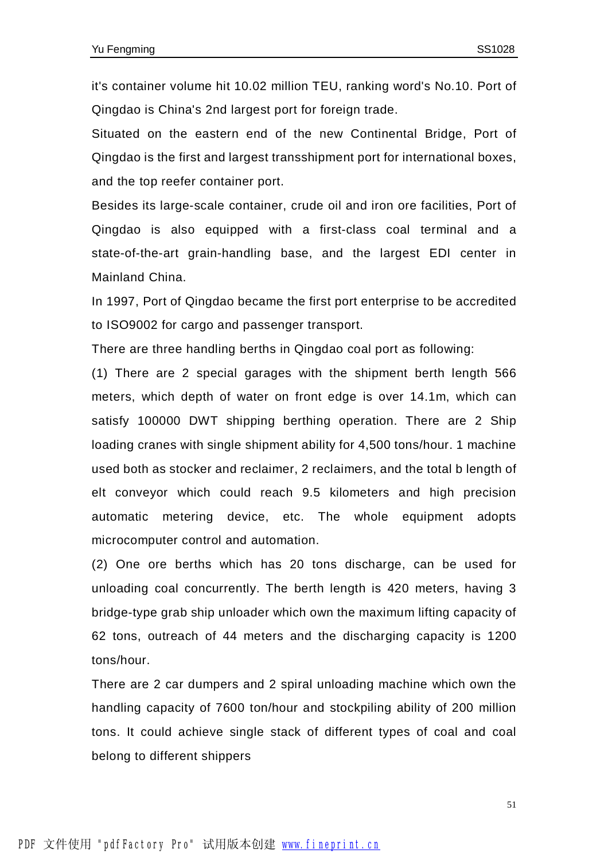it's container volume hit 10.02 million TEU, ranking word's No.10. Port of Qingdao is China's 2nd largest port for foreign trade.

Situated on the eastern end of the new Continental Bridge, Port of Qingdao is the first and largest transshipment port for international boxes, and the top reefer container port.

Besides its large-scale container, crude oil and iron ore facilities, Port of Qingdao is also equipped with a first-class coal terminal and a state-of-the-art grain-handling base, and the largest EDI center in Mainland China.

In 1997, Port of Qingdao became the first port enterprise to be accredited to ISO9002 for cargo and passenger transport.

There are three handling berths in Qingdao coal port as following:

(1) There are 2 special garages with the shipment berth length 566 meters, which depth of water on front edge is over 14.1m, which can satisfy 100000 DWT shipping berthing operation. There are 2 Ship loading cranes with single shipment ability for 4,500 tons/hour. 1 machine used both as stocker and reclaimer, 2 reclaimers, and the total b length of elt conveyor which could reach 9.5 kilometers and high precision automatic metering device, etc. The whole equipment adopts microcomputer control and automation.

(2) One ore berths which has 20 tons discharge, can be used for unloading coal concurrently. The berth length is 420 meters, having 3 bridge-type grab ship unloader which own the maximum lifting capacity of 62 tons, outreach of 44 meters and the discharging capacity is 1200 tons/hour.

There are 2 car dumpers and 2 spiral unloading machine which own the handling capacity of 7600 ton/hour and stockpiling ability of 200 million tons. It could achieve single stack of different types of coal and coal belong to different shippers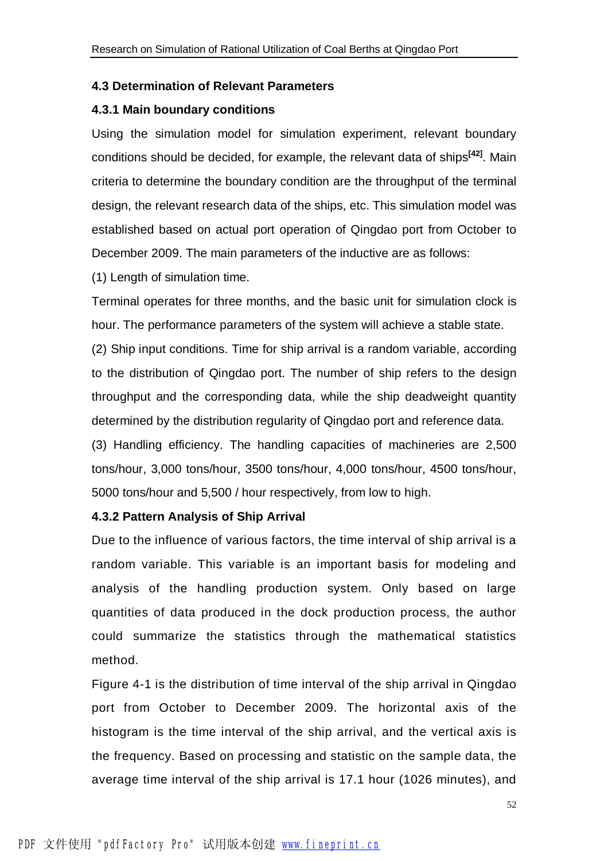#### **4.3 Determination of Relevant Parameters**

#### **4.3.1 Main boundary conditions**

Using the simulation model for simulation experiment, relevant boundary conditions should be decided, for example, the relevant data of ships**[42]** . Main criteria to determine the boundary condition are the throughput of the terminal design, the relevant research data of the ships, etc. This simulation model was established based on actual port operation of Qingdao port from October to December 2009. The main parameters of the inductive are as follows:

(1) Length of simulation time.

Terminal operates for three months, and the basic unit for simulation clock is hour. The performance parameters of the system will achieve a stable state.

(2) Ship input conditions. Time for ship arrival is a random variable, according to the distribution of Qingdao port. The number of ship refers to the design throughput and the corresponding data, while the ship deadweight quantity determined by the distribution regularity of Qingdao port and reference data.

(3) Handling efficiency. The handling capacities of machineries are 2,500 tons/hour, 3,000 tons/hour, 3500 tons/hour, 4,000 tons/hour, 4500 tons/hour, 5000 tons/hour and 5,500 / hour respectively, from low to high.

#### **4.3.2 Pattern Analysis of Ship Arrival**

Due to the influence of various factors, the time interval of ship arrival is a random variable. This variable is an important basis for modeling and analysis of the handling production system. Only based on large quantities of data produced in the dock production process, the author could summarize the statistics through the mathematical statistics method.

Figure 4-1 is the distribution of time interval of the ship arrival in Qingdao port from October to December 2009. The horizontal axis of the histogram is the time interval of the ship arrival, and the vertical axis is the frequency. Based on processing and statistic on the sample data, the average time interval of the ship arrival is 17.1 hour (1026 minutes), and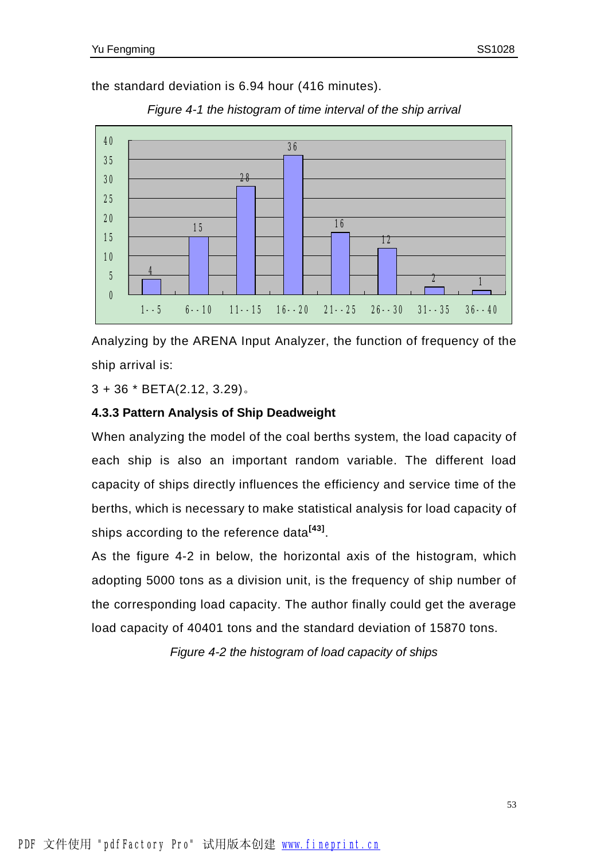the standard deviation is 6.94 hour (416 minutes).



*Figure 4-1 the histogram of time interval of the ship arrival* 

Analyzing by the ARENA Input Analyzer, the function of frequency of the ship arrival is:

3 + 36 \* BETA(2.12, 3.29)。

#### **4.3.3 Pattern Analysis of Ship Deadweight**

When analyzing the model of the coal berths system, the load capacity of each ship is also an important random variable. The different load capacity of ships directly influences the efficiency and service time of the berths, which is necessary to make statistical analysis for load capacity of ships according to the reference data**[43]** .

As the figure 4-2 in below, the horizontal axis of the histogram, which adopting 5000 tons as a division unit, is the frequency of ship number of the corresponding load capacity. The author finally could get the average load capacity of 40401 tons and the standard deviation of 15870 tons.

*Figure 4-2 the histogram of load capacity of ships*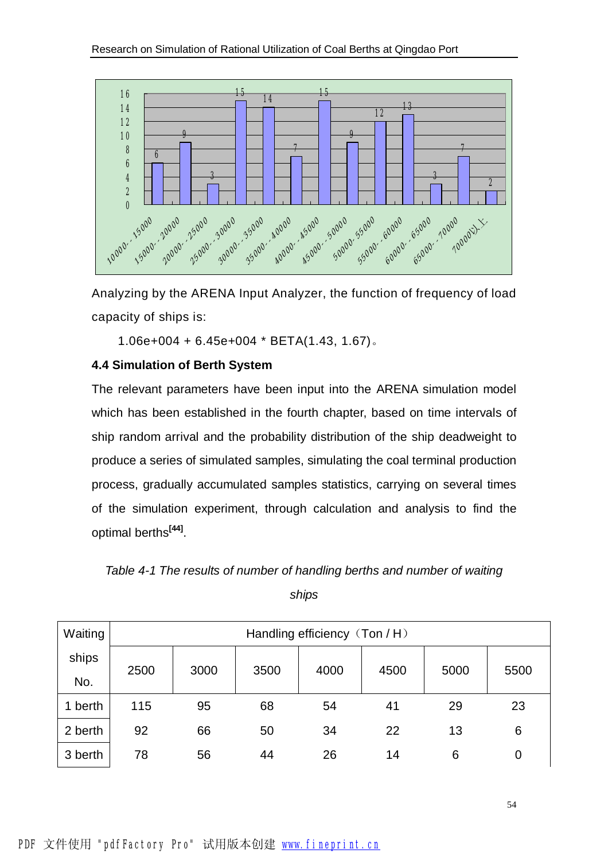

Analyzing by the ARENA Input Analyzer, the function of frequency of load capacity of ships is:

1.06e+004 + 6.45e+004 \* BETA(1.43, 1.67)。

#### **4.4 Simulation of Berth System**

The relevant parameters have been input into the ARENA simulation model which has been established in the fourth chapter, based on time intervals of ship random arrival and the probability distribution of the ship deadweight to produce a series of simulated samples, simulating the coal terminal production process, gradually accumulated samples statistics, carrying on several times of the simulation experiment, through calculation and analysis to find the optimal berths**[44]** .

*Table 4-1 The results of number of handling berths and number of waiting* 

*ships* 

| Waiting | Handling efficiency (Ton / H) |      |      |      |      |      |      |
|---------|-------------------------------|------|------|------|------|------|------|
| ships   | 2500                          | 3000 | 3500 | 4000 | 4500 | 5000 | 5500 |
| No.     |                               |      |      |      |      |      |      |
| 1 berth | 115                           | 95   | 68   | 54   | 41   | 29   | 23   |
| 2 berth | 92                            | 66   | 50   | 34   | 22   | 13   | 6    |
| 3 berth | 78                            | 56   | 44   | 26   | 14   | 6    | 0    |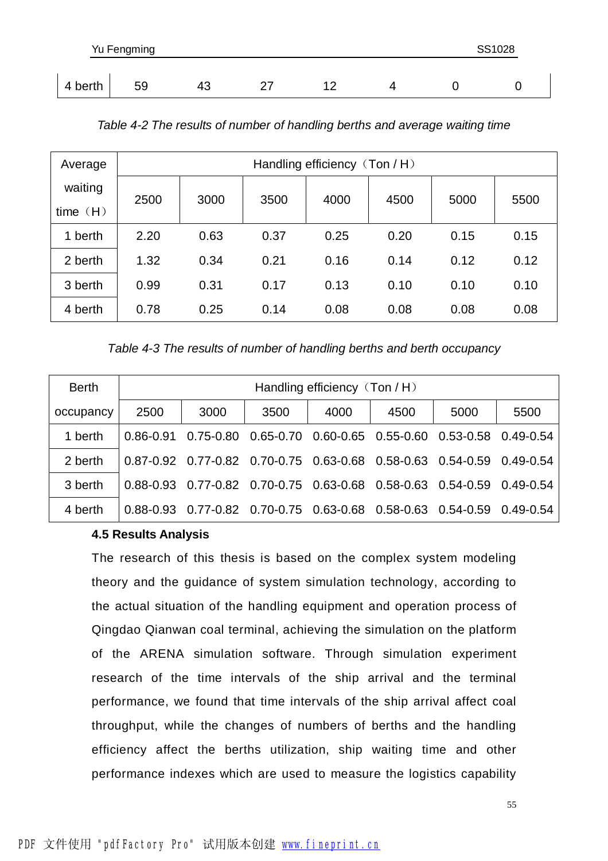| Yu Fengming |    |    |  |  | SS1028 |  |
|-------------|----|----|--|--|--------|--|
|             |    |    |  |  |        |  |
| 4 berth     | 59 | 43 |  |  |        |  |

| Average               |      | Handling efficiency (Ton / H) |      |      |      |      |      |
|-----------------------|------|-------------------------------|------|------|------|------|------|
| waiting<br>time $(H)$ | 2500 | 3000                          | 3500 | 4000 | 4500 | 5000 | 5500 |
| berth<br>1            | 2.20 | 0.63                          | 0.37 | 0.25 | 0.20 | 0.15 | 0.15 |
| 2 berth               | 1.32 | 0.34                          | 0.21 | 0.16 | 0.14 | 0.12 | 0.12 |
| 3 berth               | 0.99 | 0.31                          | 0.17 | 0.13 | 0.10 | 0.10 | 0.10 |
| 4 berth               | 0.78 | 0.25                          | 0.14 | 0.08 | 0.08 | 0.08 | 0.08 |

|  | Table 4-2 The results of number of handling berths and average waiting time |
|--|-----------------------------------------------------------------------------|
|  |                                                                             |

*Table 4-3 The results of number of handling berths and berth occupancy* 

| <b>Berth</b> |           | Handling efficiency (Ton / H) |                                                                                     |      |      |      |               |  |
|--------------|-----------|-------------------------------|-------------------------------------------------------------------------------------|------|------|------|---------------|--|
| occupancy    | 2500      | 3000                          | 3500                                                                                | 4000 | 4500 | 5000 | 5500          |  |
| 1 berth      |           |                               | $0.86-0.91$ $0.75-0.80$ $0.65-0.70$ $0.60-0.65$ $0.55-0.60$ $0.53-0.58$ $0.49-0.54$ |      |      |      |               |  |
| 2 berth      |           |                               | 0.87-0.92 0.77-0.82 0.70-0.75 0.63-0.68 0.58-0.63 0.54-0.59                         |      |      |      | 0.49-0.54     |  |
| 3 berth      | 0.88-0.93 |                               | 0.77-0.82  0.70-0.75  0.63-0.68  0.58-0.63  0.54-0.59                               |      |      |      | $0.49 - 0.54$ |  |
| 4 berth      | 0.88-0.93 |                               | 0.77-0.82  0.70-0.75  0.63-0.68  0.58-0.63  0.54-0.59                               |      |      |      | $0.49 - 0.54$ |  |

#### **4.5 Results Analysis**

The research of this thesis is based on the complex system modeling theory and the guidance of system simulation technology, according to the actual situation of the handling equipment and operation process of Qingdao Qianwan coal terminal, achieving the simulation on the platform of the ARENA simulation software. Through simulation experiment research of the time intervals of the ship arrival and the terminal performance, we found that time intervals of the ship arrival affect coal throughput, while the changes of numbers of berths and the handling efficiency affect the berths utilization, ship waiting time and other performance indexes which are used to measure the logistics capability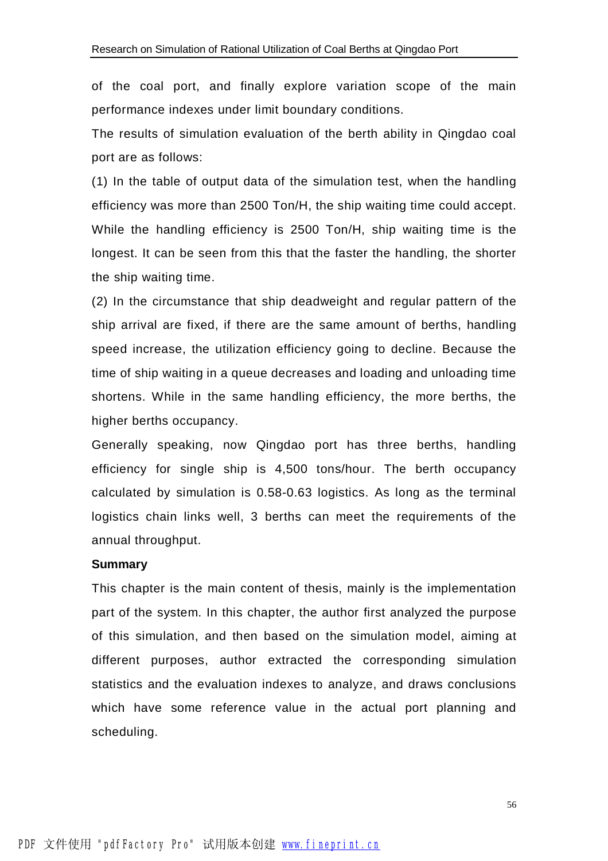of the coal port, and finally explore variation scope of the main performance indexes under limit boundary conditions.

The results of simulation evaluation of the berth ability in Qingdao coal port are as follows:

(1) In the table of output data of the simulation test, when the handling efficiency was more than 2500 Ton/H, the ship waiting time could accept. While the handling efficiency is 2500 Ton/H, ship waiting time is the longest. It can be seen from this that the faster the handling, the shorter the ship waiting time.

(2) In the circumstance that ship deadweight and regular pattern of the ship arrival are fixed, if there are the same amount of berths, handling speed increase, the utilization efficiency going to decline. Because the time of ship waiting in a queue decreases and loading and unloading time shortens. While in the same handling efficiency, the more berths, the higher berths occupancy.

Generally speaking, now Qingdao port has three berths, handling efficiency for single ship is 4,500 tons/hour. The berth occupancy calculated by simulation is 0.58-0.63 logistics. As long as the terminal logistics chain links well, 3 berths can meet the requirements of the annual throughput.

#### **Summary**

This chapter is the main content of thesis, mainly is the implementation part of the system. In this chapter, the author first analyzed the purpose of this simulation, and then based on the simulation model, aiming at different purposes, author extracted the corresponding simulation statistics and the evaluation indexes to analyze, and draws conclusions which have some reference value in the actual port planning and scheduling.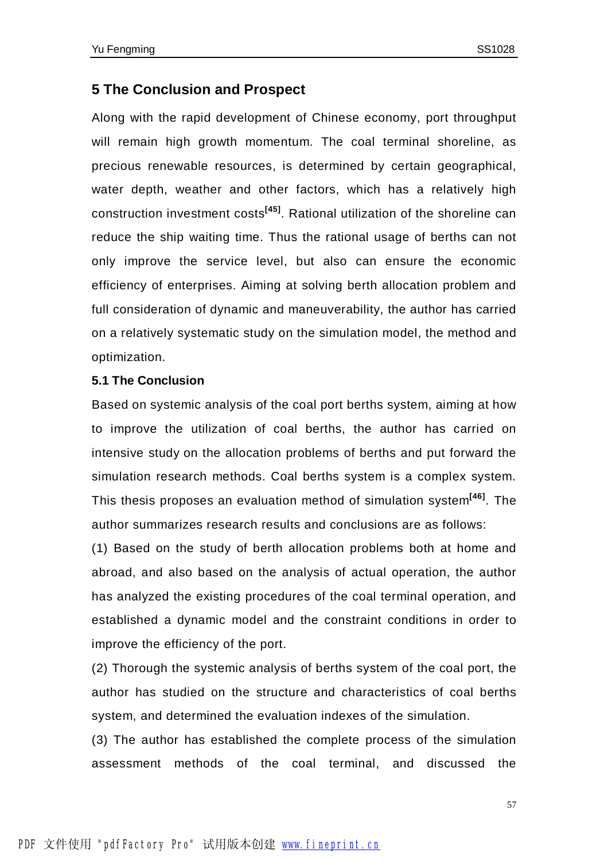#### **5 The Conclusion and Prospect**

Along with the rapid development of Chinese economy, port throughput will remain high growth momentum. The coal terminal shoreline, as precious renewable resources, is determined by certain geographical, water depth, weather and other factors, which has a relatively high construction investment costs**[45]** . Rational utilization of the shoreline can reduce the ship waiting time. Thus the rational usage of berths can not only improve the service level, but also can ensure the economic efficiency of enterprises. Aiming at solving berth allocation problem and full consideration of dynamic and maneuverability, the author has carried on a relatively systematic study on the simulation model, the method and optimization.

#### **5.1 The Conclusion**

Based on systemic analysis of the coal port berths system, aiming at how to improve the utilization of coal berths, the author has carried on intensive study on the allocation problems of berths and put forward the simulation research methods. Coal berths system is a complex system. This thesis proposes an evaluation method of simulation system**[46]** . The author summarizes research results and conclusions are as follows:

(1) Based on the study of berth allocation problems both at home and abroad, and also based on the analysis of actual operation, the author has analyzed the existing procedures of the coal terminal operation, and established a dynamic model and the constraint conditions in order to improve the efficiency of the port.

(2) Thorough the systemic analysis of berths system of the coal port, the author has studied on the structure and characteristics of coal berths system, and determined the evaluation indexes of the simulation.

(3) The author has established the complete process of the simulation assessment methods of the coal terminal, and discussed the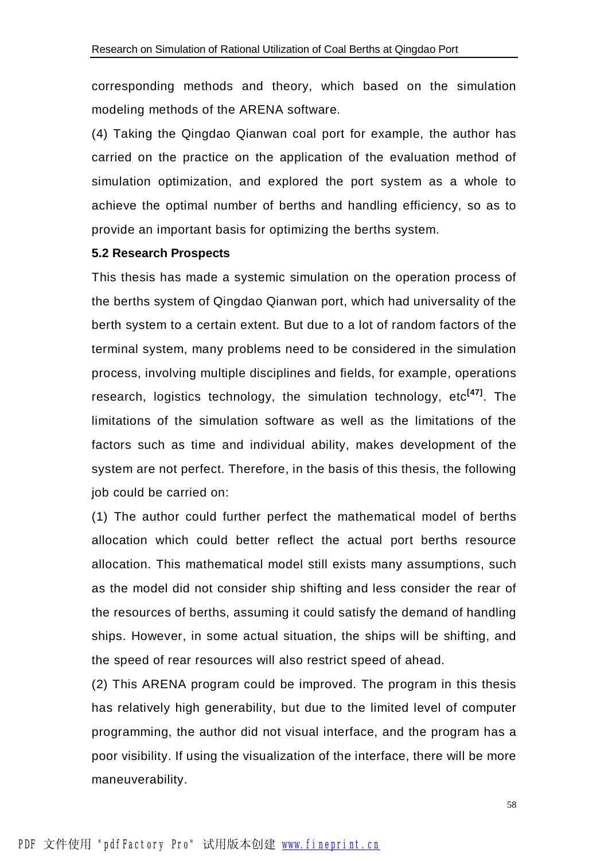corresponding methods and theory, which based on the simulation modeling methods of the ARENA software.

(4) Taking the Qingdao Qianwan coal port for example, the author has carried on the practice on the application of the evaluation method of simulation optimization, and explored the port system as a whole to achieve the optimal number of berths and handling efficiency, so as to provide an important basis for optimizing the berths system.

#### **5.2 Research Prospects**

This thesis has made a systemic simulation on the operation process of the berths system of Qingdao Qianwan port, which had universality of the berth system to a certain extent. But due to a lot of random factors of the terminal system, many problems need to be considered in the simulation process, involving multiple disciplines and fields, for example, operations research, logistics technology, the simulation technology, etc**[47]** . The limitations of the simulation software as well as the limitations of the factors such as time and individual ability, makes development of the system are not perfect. Therefore, in the basis of this thesis, the following job could be carried on:

(1) The author could further perfect the mathematical model of berths allocation which could better reflect the actual port berths resource allocation. This mathematical model still exists many assumptions, such as the model did not consider ship shifting and less consider the rear of the resources of berths, assuming it could satisfy the demand of handling ships. However, in some actual situation, the ships will be shifting, and the speed of rear resources will also restrict speed of ahead.

(2) This ARENA program could be improved. The program in this thesis has relatively high generability, but due to the limited level of computer programming, the author did not visual interface, and the program has a poor visibility. If using the visualization of the interface, there will be more maneuverability.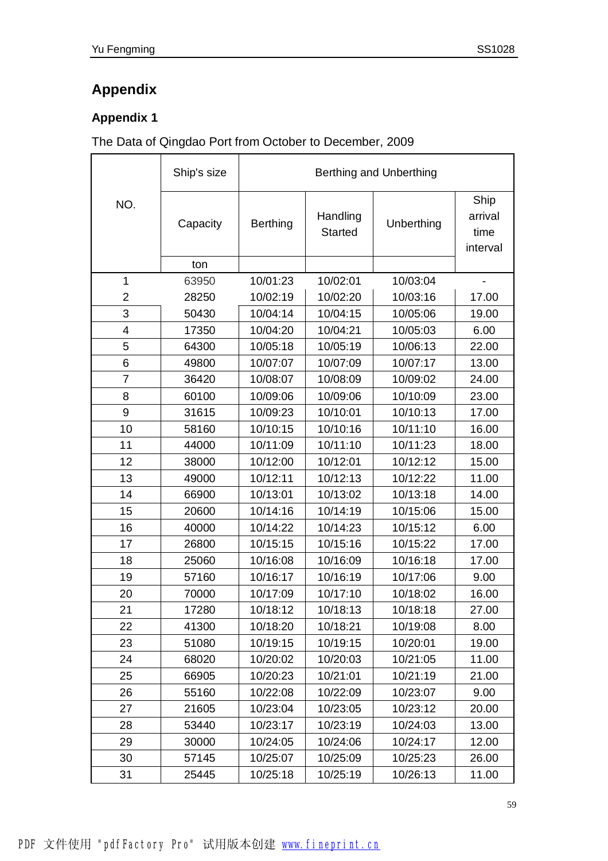## **Appendix 1**

#### The Data of Qingdao Port from October to December, 2009

|                | Ship's size | Berthing and Unberthing |                            |            |                                     |  |
|----------------|-------------|-------------------------|----------------------------|------------|-------------------------------------|--|
| NO.            | Capacity    | <b>Berthing</b>         | Handling<br><b>Started</b> | Unberthing | Ship<br>arrival<br>time<br>interval |  |
|                | ton         |                         |                            |            |                                     |  |
| 1              | 63950       | 10/01:23                | 10/02:01                   | 10/03:04   |                                     |  |
| $\overline{2}$ | 28250       | 10/02:19                | 10/02:20                   | 10/03:16   | 17.00                               |  |
| 3              | 50430       | 10/04:14                | 10/04:15                   | 10/05:06   | 19.00                               |  |
| 4              | 17350       | 10/04:20                | 10/04:21                   | 10/05:03   | 6.00                                |  |
| 5              | 64300       | 10/05:18                | 10/05:19                   | 10/06:13   | 22.00                               |  |
| 6              | 49800       | 10/07:07                | 10/07:09                   | 10/07:17   | 13.00                               |  |
| $\overline{7}$ | 36420       | 10/08:07                | 10/08:09                   | 10/09:02   | 24.00                               |  |
| 8              | 60100       | 10/09:06                | 10/09:06                   | 10/10:09   | 23.00                               |  |
| 9              | 31615       | 10/09:23                | 10/10:01                   | 10/10:13   | 17.00                               |  |
| 10             | 58160       | 10/10:15                | 10/10:16                   | 10/11:10   | 16.00                               |  |
| 11             | 44000       | 10/11:09                | 10/11:10                   | 10/11:23   | 18.00                               |  |
| 12             | 38000       | 10/12:00                | 10/12:01                   | 10/12:12   | 15.00                               |  |
| 13             | 49000       | 10/12:11                | 10/12:13                   | 10/12:22   | 11.00                               |  |
| 14             | 66900       | 10/13:01                | 10/13:02                   | 10/13:18   | 14.00                               |  |
| 15             | 20600       | 10/14:16                | 10/14:19                   | 10/15:06   | 15.00                               |  |
| 16             | 40000       | 10/14:22                | 10/14:23                   | 10/15:12   | 6.00                                |  |
| 17             | 26800       | 10/15:15                | 10/15:16                   | 10/15:22   | 17.00                               |  |
| 18             | 25060       | 10/16:08                | 10/16:09                   | 10/16:18   | 17.00                               |  |
| 19             | 57160       | 10/16:17                | 10/16:19                   | 10/17:06   | 9.00                                |  |
| 20             | 70000       | 10/17:09                | 10/17:10                   | 10/18:02   | 16.00                               |  |
| 21             | 17280       | 10/18:12                | 10/18:13                   | 10/18:18   | 27.00                               |  |
| 22             | 41300       | 10/18:20                | 10/18:21                   | 10/19:08   | 8.00                                |  |
| 23             | 51080       | 10/19:15                | 10/19:15                   | 10/20:01   | 19.00                               |  |
| 24             | 68020       | 10/20:02                | 10/20:03                   | 10/21:05   | 11.00                               |  |
| 25             | 66905       | 10/20:23                | 10/21:01                   | 10/21:19   | 21.00                               |  |
| 26             | 55160       | 10/22:08                | 10/22:09                   | 10/23:07   | 9.00                                |  |
| 27             | 21605       | 10/23:04                | 10/23:05                   | 10/23:12   | 20.00                               |  |
| 28             | 53440       | 10/23:17                | 10/23:19                   | 10/24:03   | 13.00                               |  |
| 29             | 30000       | 10/24:05                | 10/24:06                   | 10/24:17   | 12.00                               |  |
| 30             | 57145       | 10/25:07                | 10/25:09                   | 10/25:23   | 26.00                               |  |
| 31             | 25445       | 10/25:18                | 10/25:19                   | 10/26:13   | 11.00                               |  |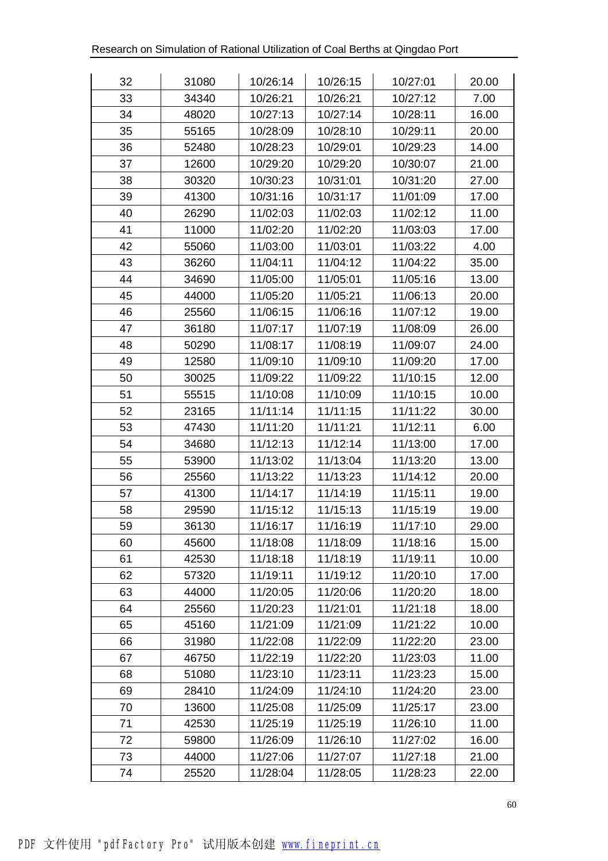| 32 | 31080 | 10/26:14 | 10/26:15 | 10/27:01 | 20.00 |
|----|-------|----------|----------|----------|-------|
| 33 | 34340 | 10/26:21 | 10/26:21 | 10/27:12 | 7.00  |
| 34 | 48020 | 10/27:13 | 10/27:14 | 10/28:11 | 16.00 |
| 35 | 55165 | 10/28:09 | 10/28:10 | 10/29:11 | 20.00 |
| 36 | 52480 | 10/28:23 | 10/29:01 | 10/29:23 | 14.00 |
| 37 | 12600 | 10/29:20 | 10/29:20 | 10/30:07 | 21.00 |
| 38 | 30320 | 10/30:23 | 10/31:01 | 10/31:20 | 27.00 |
| 39 | 41300 | 10/31:16 | 10/31:17 | 11/01:09 | 17.00 |
| 40 | 26290 | 11/02:03 | 11/02:03 | 11/02:12 | 11.00 |
| 41 | 11000 | 11/02:20 | 11/02:20 | 11/03:03 | 17.00 |
| 42 | 55060 | 11/03:00 | 11/03:01 | 11/03:22 | 4.00  |
| 43 | 36260 | 11/04:11 | 11/04:12 | 11/04:22 | 35.00 |
| 44 | 34690 | 11/05:00 | 11/05:01 | 11/05:16 | 13.00 |
| 45 | 44000 | 11/05:20 | 11/05:21 | 11/06:13 | 20.00 |
| 46 | 25560 | 11/06:15 | 11/06:16 | 11/07:12 | 19.00 |
| 47 | 36180 | 11/07:17 | 11/07:19 | 11/08:09 | 26.00 |
| 48 | 50290 | 11/08:17 | 11/08:19 | 11/09:07 | 24.00 |
| 49 | 12580 | 11/09:10 | 11/09:10 | 11/09:20 | 17.00 |
| 50 | 30025 | 11/09:22 | 11/09:22 | 11/10:15 | 12.00 |
| 51 | 55515 | 11/10:08 | 11/10:09 | 11/10:15 | 10.00 |
| 52 | 23165 | 11/11:14 | 11/11:15 | 11/11:22 | 30.00 |
| 53 | 47430 | 11/11:20 | 11/11:21 | 11/12:11 | 6.00  |
| 54 | 34680 | 11/12:13 | 11/12:14 | 11/13:00 | 17.00 |
| 55 | 53900 | 11/13:02 | 11/13:04 | 11/13:20 | 13.00 |
| 56 | 25560 | 11/13:22 | 11/13:23 | 11/14:12 | 20.00 |
| 57 | 41300 | 11/14:17 | 11/14:19 | 11/15:11 | 19.00 |
| 58 | 29590 | 11/15:12 | 11/15:13 | 11/15:19 | 19.00 |
| 59 | 36130 | 11/16:17 | 11/16:19 | 11/17:10 | 29.00 |
| 60 | 45600 | 11/18:08 | 11/18:09 | 11/18:16 | 15.00 |
| 61 | 42530 | 11/18:18 | 11/18:19 | 11/19:11 | 10.00 |
| 62 | 57320 | 11/19:11 | 11/19:12 | 11/20:10 | 17.00 |
| 63 | 44000 | 11/20:05 | 11/20:06 | 11/20:20 | 18.00 |
| 64 | 25560 | 11/20:23 | 11/21:01 | 11/21:18 | 18.00 |
| 65 | 45160 | 11/21:09 | 11/21:09 | 11/21:22 | 10.00 |
| 66 | 31980 | 11/22:08 | 11/22:09 | 11/22:20 | 23.00 |
| 67 | 46750 | 11/22:19 | 11/22:20 | 11/23:03 | 11.00 |
| 68 | 51080 | 11/23:10 | 11/23:11 | 11/23:23 | 15.00 |
| 69 | 28410 | 11/24:09 | 11/24:10 | 11/24:20 | 23.00 |
| 70 | 13600 | 11/25:08 | 11/25:09 | 11/25:17 | 23.00 |
| 71 | 42530 | 11/25:19 | 11/25:19 | 11/26:10 | 11.00 |
| 72 | 59800 | 11/26:09 | 11/26:10 | 11/27:02 | 16.00 |
| 73 | 44000 | 11/27:06 | 11/27:07 | 11/27:18 | 21.00 |
| 74 | 25520 | 11/28:04 | 11/28:05 | 11/28:23 | 22.00 |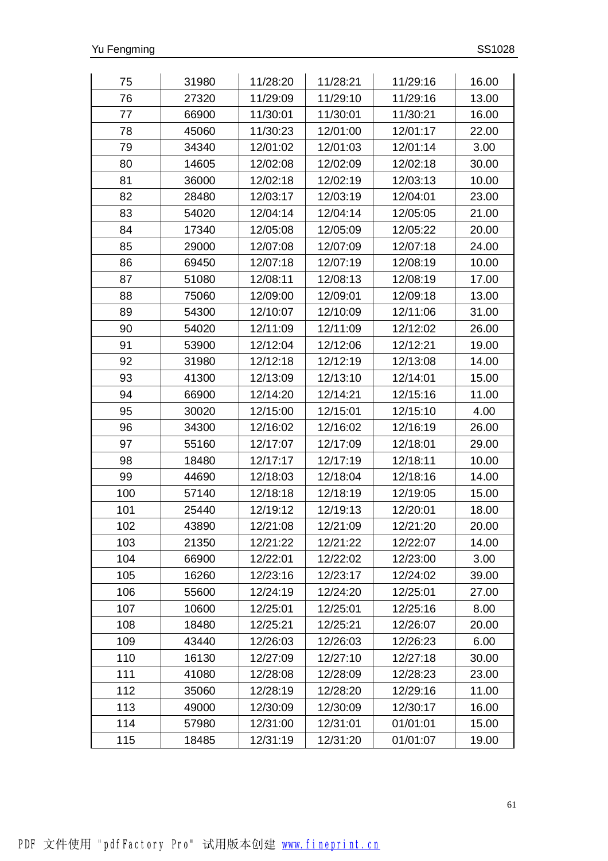| 75  | 31980 | 11/28:20 | 11/28:21 | 11/29:16 | 16.00 |
|-----|-------|----------|----------|----------|-------|
| 76  | 27320 | 11/29:09 | 11/29:10 | 11/29:16 | 13.00 |
| 77  | 66900 | 11/30:01 | 11/30:01 | 11/30:21 | 16.00 |
| 78  | 45060 | 11/30:23 | 12/01:00 | 12/01:17 | 22.00 |
| 79  | 34340 | 12/01:02 | 12/01:03 | 12/01:14 | 3.00  |
| 80  | 14605 | 12/02:08 | 12/02:09 | 12/02:18 | 30.00 |
| 81  | 36000 | 12/02:18 | 12/02:19 | 12/03:13 | 10.00 |
| 82  | 28480 | 12/03:17 | 12/03:19 | 12/04:01 | 23.00 |
| 83  | 54020 | 12/04:14 | 12/04:14 | 12/05:05 | 21.00 |
| 84  | 17340 | 12/05:08 | 12/05:09 | 12/05:22 | 20.00 |
| 85  | 29000 | 12/07:08 | 12/07:09 | 12/07:18 | 24.00 |
| 86  | 69450 | 12/07:18 | 12/07:19 | 12/08:19 | 10.00 |
| 87  | 51080 | 12/08:11 | 12/08:13 | 12/08:19 | 17.00 |
| 88  | 75060 | 12/09:00 | 12/09:01 | 12/09:18 | 13.00 |
| 89  | 54300 | 12/10:07 | 12/10:09 | 12/11:06 | 31.00 |
| 90  | 54020 | 12/11:09 | 12/11:09 | 12/12:02 | 26.00 |
| 91  | 53900 | 12/12:04 | 12/12:06 | 12/12:21 | 19.00 |
| 92  | 31980 | 12/12:18 | 12/12:19 | 12/13:08 | 14.00 |
| 93  | 41300 | 12/13:09 | 12/13:10 | 12/14:01 | 15.00 |
| 94  | 66900 | 12/14:20 | 12/14:21 | 12/15:16 | 11.00 |
| 95  | 30020 | 12/15:00 | 12/15:01 | 12/15:10 | 4.00  |
| 96  | 34300 | 12/16:02 | 12/16:02 | 12/16:19 | 26.00 |
| 97  | 55160 | 12/17:07 | 12/17:09 | 12/18:01 | 29.00 |
| 98  | 18480 | 12/17:17 | 12/17:19 | 12/18:11 | 10.00 |
| 99  | 44690 | 12/18:03 | 12/18:04 | 12/18:16 | 14.00 |
| 100 | 57140 | 12/18:18 | 12/18:19 | 12/19:05 | 15.00 |
| 101 | 25440 | 12/19:12 | 12/19:13 | 12/20:01 | 18.00 |
| 102 | 43890 | 12/21:08 | 12/21:09 | 12/21:20 | 20.00 |
| 103 | 21350 | 12/21:22 | 12/21:22 | 12/22:07 | 14.00 |
| 104 | 66900 | 12/22:01 | 12/22:02 | 12/23:00 | 3.00  |
| 105 | 16260 | 12/23:16 | 12/23:17 | 12/24:02 | 39.00 |
| 106 | 55600 | 12/24:19 | 12/24:20 | 12/25:01 | 27.00 |
| 107 | 10600 | 12/25:01 | 12/25:01 | 12/25:16 | 8.00  |
| 108 | 18480 | 12/25:21 | 12/25:21 | 12/26:07 | 20.00 |
| 109 | 43440 | 12/26:03 | 12/26:03 | 12/26:23 | 6.00  |
| 110 | 16130 | 12/27:09 | 12/27:10 | 12/27:18 | 30.00 |
| 111 | 41080 | 12/28:08 | 12/28:09 | 12/28:23 | 23.00 |
| 112 | 35060 | 12/28:19 | 12/28:20 | 12/29:16 | 11.00 |
| 113 | 49000 | 12/30:09 | 12/30:09 | 12/30:17 | 16.00 |
| 114 | 57980 | 12/31:00 | 12/31:01 | 01/01:01 | 15.00 |
| 115 | 18485 | 12/31:19 | 12/31:20 | 01/01:07 | 19.00 |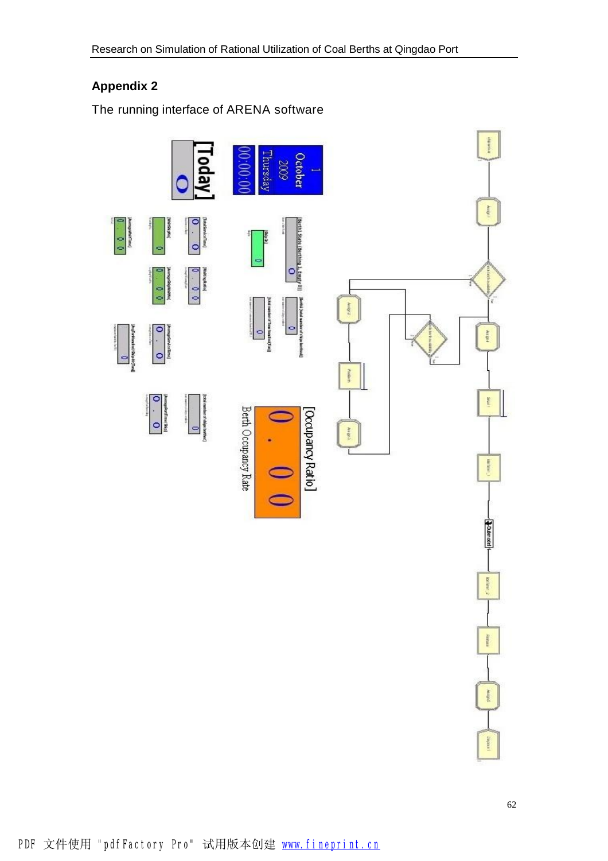### **Appendix 2**

The running interface of ARENA software

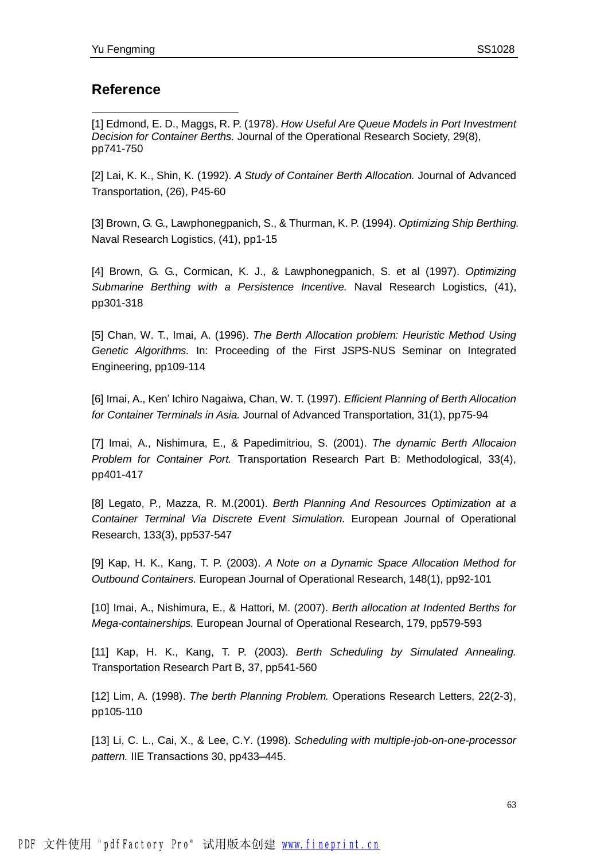#### **Reference**

 $\overline{a}$ 

[1] Edmond, E. D., Maggs, R. P. (1978). *How Useful Are Queue Models in Port Investment Decision for Container Berths.* Journal of the Operational Research Society, 29(8), pp741-750

[2] Lai, K. K., Shin, K. (1992). *A Study of Container Berth Allocation.* Journal of Advanced Transportation, (26), P45-60

[3] Brown, G. G., Lawphonegpanich, S., & Thurman, K. P. (1994). *Optimizing Ship Berthing.*  Naval Research Logistics, (41), pp1-15

[4] Brown, G. G., Cormican, K. J., & Lawphonegpanich, S. et al (1997). *Optimizing Submarine Berthing with a Persistence Incentive.* Naval Research Logistics, (41), pp301-318

[5] Chan, W. T., Imai, A. (1996). *The Berth Allocation problem: Heuristic Method Using Genetic Algorithms.* In: Proceeding of the First JSPS-NUS Seminar on Integrated Engineering, pp109-114

[6] Imai, A., Ken' Ichiro Nagaiwa, Chan, W. T. (1997). *Efficient Planning of Berth Allocation for Container Terminals in Asia.* Journal of Advanced Transportation, 31(1), pp75-94

[7] Imai, A., Nishimura, E., & Papedimitriou, S. (2001). *The dynamic Berth Allocaion Problem for Container Port.* Transportation Research Part B: Methodological, 33(4), pp401-417

[8] Legato, P., Mazza, R. M.(2001). *Berth Planning And Resources Optimization at a Container Terminal Via Discrete Event Simulation.* European Journal of Operational Research, 133(3), pp537-547

[9] Kap, H. K., Kang, T. P. (2003). *A Note on a Dynamic Space Allocation Method for Outbound Containers.* European Journal of Operational Research, 148(1), pp92-101

[10] Imai, A., Nishimura, E., & Hattori, M. (2007). *Berth allocation at Indented Berths for Mega-containerships.* European Journal of Operational Research, 179, pp579-593

[11] Kap, H. K., Kang, T. P. (2003). *Berth Scheduling by Simulated Annealing.*  Transportation Research Part B, 37, pp541-560

[12] Lim, A. (1998). *The berth Planning Problem.* Operations Research Letters, 22(2-3), pp105-110

[13] Li, C. L., Cai, X., & Lee, C.Y. (1998). *Scheduling with multiple-job-on-one-processor pattern.* IIE Transactions 30, pp433–445.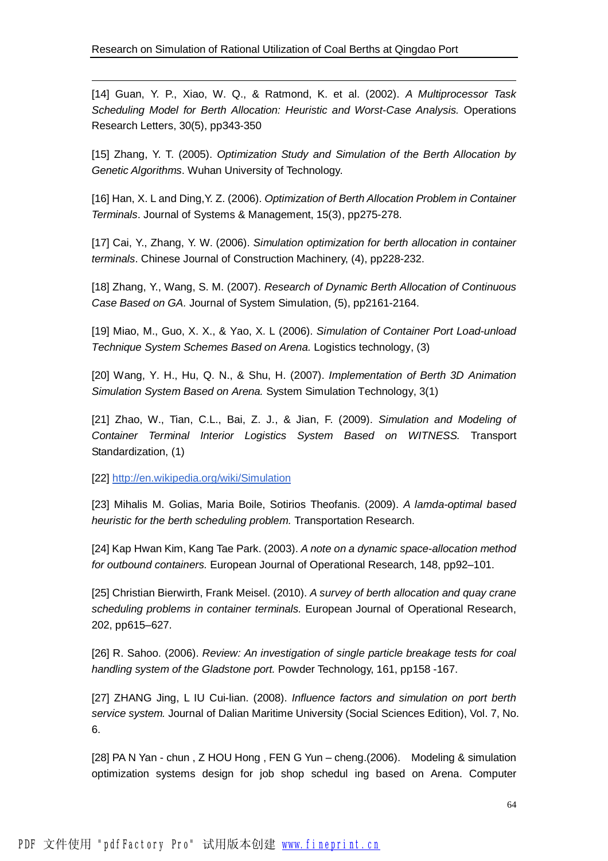[14] Guan, Y. P., Xiao, W. Q., & Ratmond, K. et al. (2002). *A Multiprocessor Task Scheduling Model for Berth Allocation: Heuristic and Worst-Case Analysis.* Operations Research Letters, 30(5), pp343-350

[15] Zhang, Y. T. (2005). *Optimization Study and Simulation of the Berth Allocation by Genetic Algorithms*. Wuhan University of Technology.

[16] Han, X. L and Ding,Y. Z. (2006). *Optimization of Berth Allocation Problem in Container Terminals*. Journal of Systems & Management, 15(3), pp275-278.

[17] Cai, Y., Zhang, Y. W. (2006). *Simulation optimization for berth allocation in container terminals*. Chinese Journal of Construction Machinery, (4), pp228-232.

[18] Zhang, Y., Wang, S. M. (2007). *Research of Dynamic Berth Allocation of Continuous Case Based on GA.* Journal of System Simulation, (5), pp2161-2164.

[19] Miao, M., Guo, X. X., & Yao, X. L (2006). *Simulation of Container Port Load-unload Technique System Schemes Based on Arena.* Logistics technology, (3)

[20] Wang, Y. H., Hu, Q. N., & Shu, H. (2007). *Implementation of Berth 3D Animation Simulation System Based on Arena.* System Simulation Technology, 3(1)

[21] Zhao, W., Tian, C.L., Bai, Z. J., & Jian, F. (2009). *Simulation and Modeling of Container Terminal Interior Logistics System Based on WITNESS.* Transport Standardization, (1)

[22] <http://en.wikipedia.org/wiki/Simulation>

 $\overline{a}$ 

[23] Mihalis M. Golias, Maria Boile, Sotirios Theofanis. (2009). *A lamda-optimal based heuristic for the berth scheduling problem.* Transportation Research.

[24] Kap Hwan Kim, Kang Tae Park. (2003). *A note on a dynamic space-allocation method for outbound containers.* European Journal of Operational Research, 148, pp92–101.

[25] Christian Bierwirth, Frank Meisel. (2010). *A survey of berth allocation and quay crane scheduling problems in container terminals.* European Journal of Operational Research, 202, pp615–627.

[26] R. Sahoo. (2006). *Review: An investigation of single particle breakage tests for coal handling system of the Gladstone port.* Powder Technology, 161, pp158 -167.

[27] ZHANG Jing, L IU Cui-lian. (2008). *Influence factors and simulation on port berth service system.* Journal of Dalian Maritime University (Social Sciences Edition), Vol. 7, No. 6.

[28] PA N Yan - chun , Z HOU Hong , FEN G Yun – cheng.(2006). Modeling & simulation optimization systems design for job shop schedul ing based on Arena. Computer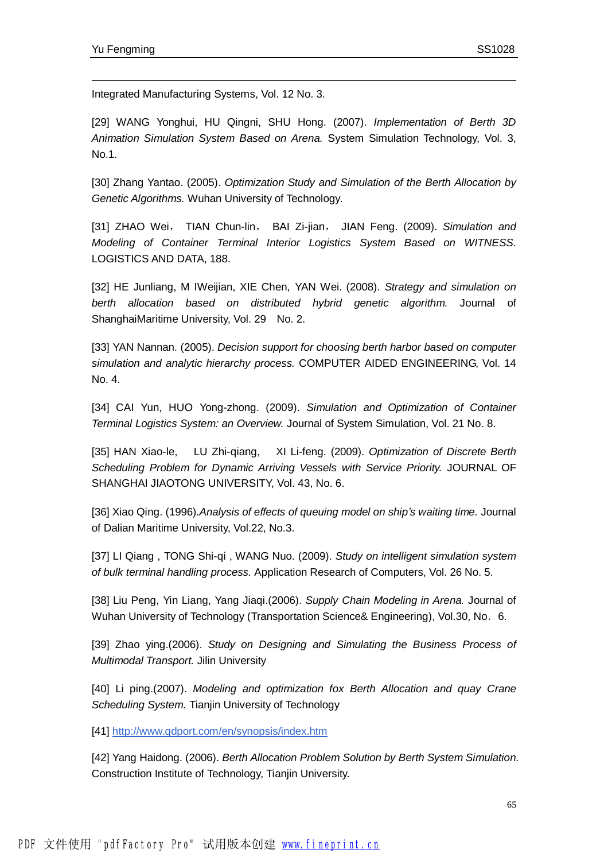$\overline{a}$ 

Integrated Manufacturing Systems, Vol. 12 No. 3.

[29] WANG Yonghui, HU Qingni, SHU Hong. (2007). *Implementation of Berth 3D Animation Simulation System Based on Arena.* System Simulation Technology, Vol. 3, No.1.

[30] Zhang Yantao. (2005). *Optimization Study and Simulation of the Berth Allocation by Genetic Algorithms.* Wuhan University of Technology.

[31] ZHAO Wei, TIAN Chun-lin, BAI Zi-jian, JIAN Feng. (2009). *Simulation and Modeling of Container Terminal Interior Logistics System Based on WITNESS.*  LOGISTICS AND DATA, 188.

[32] HE Junliang, M IWeijian, XIE Chen, YAN Wei. (2008). *Strategy and simulation on berth allocation based on distributed hybrid genetic algorithm.* Journal of ShanghaiMaritime University, Vol. 29 No. 2.

[33] YAN Nannan. (2005). *Decision support for choosing berth harbor based on computer simulation and analytic hierarchy process.* COMPUTER AIDED ENGINEERING, Vol. 14 No. 4.

[34] CAI Yun, HUO Yong-zhong. (2009). *Simulation and Optimization of Container Terminal Logistics System: an Overview.* Journal of System Simulation, Vol. 21 No. 8.

[35] HAN Xiao-le, LU Zhi-qiang, XI Li-feng. (2009). *Optimization of Discrete Berth Scheduling Problem for Dynamic Arriving Vessels with Service Priority.* JOURNAL OF SHANGHAI JIAOTONG UNIVERSITY, Vol. 43, No. 6.

[36] Xiao Qing. (1996).*Analysis of effects of queuing model on ship's waiting time.* Journal of Dalian Maritime University, Vol.22, No.3.

[37] LI Qiang , TONG Shi-qi , WANG Nuo. (2009). *Study on intelligent simulation system of bulk terminal handling process.* Application Research of Computers, Vol. 26 No. 5.

[38] Liu Peng, Yin Liang, Yang Jiaqi.(2006). *Supply Chain Modeling in Arena.* Journal of Wuhan University of Technology (Transportation Science& Engineering), Vol.30, No. 6.

[39] Zhao ying.(2006). *Study on Designing and Simulating the Business Process of Multimodal Transport.* Jilin University

[40] Li ping.(2007). *Modeling and optimization fox Berth Allocation and quay Crane Scheduling System.* Tianjin University of Technology

[41] <http://www.qdport.com/en/synopsis/index.htm>

[42] Yang Haidong. (2006). *Berth Allocation Problem Solution by Berth System Simulation.*  Construction Institute of Technology, Tianjin University.